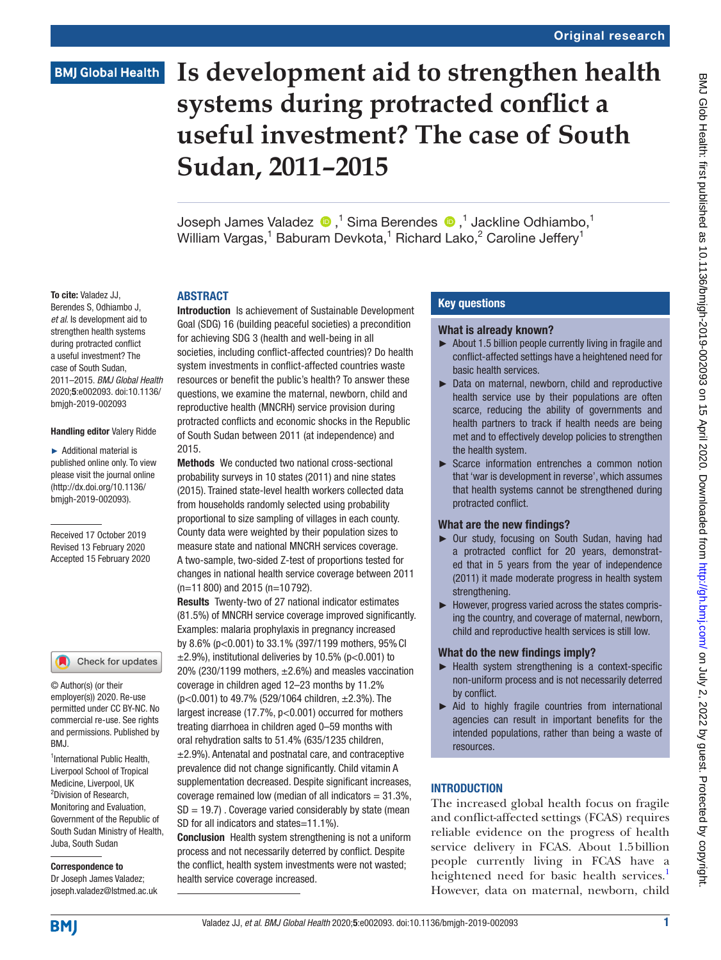# **Is development aid to strengthen health systems during protracted conflict a useful investment? The case of South Sudan, 2011–2015**

JosephJames Valadez  $\bigcirc$  ,<sup>1</sup> Sima Berendes  $\bigcirc$  ,<sup>1</sup> Jackline Odhiambo,<sup>1</sup> William Vargas, $^1$  Baburam Devkota, $^1$  Richard Lako, $^2$  Caroline Jeffery $^1$ 

#### To cite: Valadez JJ,

Berendes S, Odhiambo J, *et al*. Is development aid to strengthen health systems during protracted conflict a useful investment? The case of South Sudan, 2011–2015. *BMJ Global Health* 2020;5:e002093. doi:10.1136/ bmjgh-2019-002093

#### Handling editor Valery Ridde

► Additional material is published online only. To view please visit the journal online (http://dx.doi.org/10.1136/ bmjgh-2019-002093).

Received 17 October 2019 Revised 13 February 2020 Accepted 15 February 2020

#### Check for updates

© Author(s) (or their employer(s)) 2020. Re-use permitted under CC BY-NC. No commercial re-use. See rights and permissions. Published by BMJ.

1 International Public Health, Liverpool School of Tropical Medicine, Liverpool, UK 2 Division of Research, Monitoring and Evaluation, Government of the Republic of South Sudan Ministry of Health, Juba, South Sudan

Correspondence to Dr Joseph James Valadez; joseph.valadez@lstmed.ac.uk **ARSTRACT** 

Introduction Is achievement of Sustainable Development Goal (SDG) 16 (building peaceful societies) a precondition for achieving SDG 3 (health and well-being in all societies, including conflict-affected countries)? Do health system investments in conflict-affected countries waste resources or benefit the public's health? To answer these questions, we examine the maternal, newborn, child and reproductive health (MNCRH) service provision during protracted conflicts and economic shocks in the Republic of South Sudan between 2011 (at independence) and 2015.

Methods We conducted two national cross-sectional probability surveys in 10 states (2011) and nine states (2015). Trained state-level health workers collected data from households randomly selected using probability proportional to size sampling of villages in each county. County data were weighted by their population sizes to measure state and national MNCRH services coverage. A two-sample, two-sided Z-test of proportions tested for changes in national health service coverage between 2011 (n=11 800) and 2015 (n=10 792).

Results Twenty-two of 27 national indicator estimates (81.5%) of MNCRH service coverage improved significantly. Examples: malaria prophylaxis in pregnancy increased by 8.6% (p<0.001) to 33.1% (397/1199 mothers, 95%CI  $\pm$ 2.9%), institutional deliveries by 10.5% (p<0.001) to 20% (230/1199 mothers,  $\pm$ 2.6%) and measles vaccination coverage in children aged 12–23 months by 11.2% (p<0.001) to 49.7% (529/1064 children, ±2.3%). The largest increase (17.7%, p<0.001) occurred for mothers treating diarrhoea in children aged 0–59 months with oral rehydration salts to 51.4% (635/1235 children,  $\pm$ 2.9%). Antenatal and postnatal care, and contraceptive prevalence did not change significantly. Child vitamin A supplementation decreased. Despite significant increases, coverage remained low (median of all indicators  $= 31.3\%$ ,  $SD = 19.7$ ). Coverage varied considerably by state (mean SD for all indicators and states=11.1%).

Conclusion Health system strengthening is not a uniform process and not necessarily deterred by conflict. Despite the conflict, health system investments were not wasted; health service coverage increased.

### Key questions

#### What is already known?

- ► About 1.5 billion people currently living in fragile and conflict-affected settings have a heightened need for basic health services.
- Data on maternal, newborn, child and reproductive health service use by their populations are often scarce, reducing the ability of governments and health partners to track if health needs are being met and to effectively develop policies to strengthen the health system.
- ► Scarce information entrenches a common notion that 'war is development in reverse', which assumes that health systems cannot be strengthened during protracted conflict.

#### What are the new findings?

- ► Our study, focusing on South Sudan, having had a protracted conflict for 20 years, demonstrated that in 5 years from the year of independence (2011) it made moderate progress in health system strengthening.
- ► However, progress varied across the states comprising the country, and coverage of maternal, newborn, child and reproductive health services is still low.

#### What do the new findings imply?

- ► Health system strengthening is a context-specific non-uniform process and is not necessarily deterred by conflict.
- ► Aid to highly fragile countries from international agencies can result in important benefits for the intended populations, rather than being a waste of resources.

# **INTRODUCTION**

The increased global health focus on fragile and conflict-affected settings (FCAS) requires reliable evidence on the progress of health service delivery in FCAS. About 1.5billion people currently living in FCAS have a heightened need for basic health services.<sup>[1](#page-12-0)</sup> However, data on maternal, newborn, child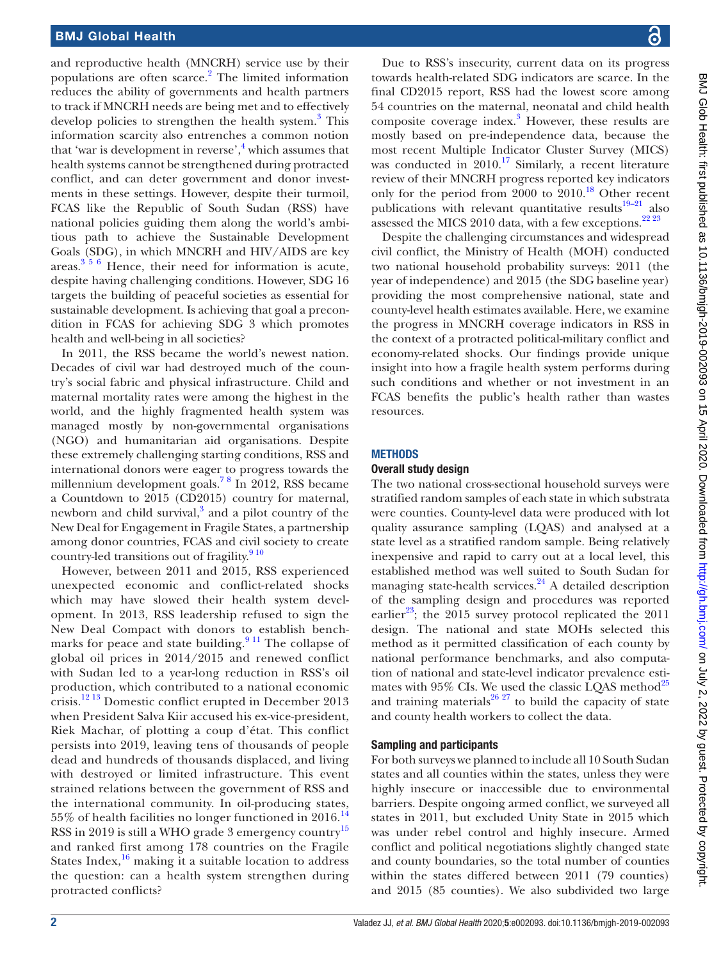and reproductive health (MNCRH) service use by their populations are often scarce.<sup>[2](#page-12-1)</sup> The limited information reduces the ability of governments and health partners to track if MNCRH needs are being met and to effectively develop policies to strengthen the health system.<sup>[3](#page-12-2)</sup> This information scarcity also entrenches a common notion that 'war is development in reverse',<sup>4</sup> which assumes that health systems cannot be strengthened during protracted conflict, and can deter government and donor investments in these settings. However, despite their turmoil, FCAS like the Republic of South Sudan (RSS) have national policies guiding them along the world's ambitious path to achieve the Sustainable Development Goals (SDG), in which MNCRH and HIV/AIDS are key areas.<sup>356</sup> Hence, their need for information is acute, despite having challenging conditions. However, SDG 16 targets the building of peaceful societies as essential for sustainable development. Is achieving that goal a precondition in FCAS for achieving SDG 3 which promotes health and well-being in all societies?

In 2011, the RSS became the world's newest nation. Decades of civil war had destroyed much of the country's social fabric and physical infrastructure. Child and maternal mortality rates were among the highest in the world, and the highly fragmented health system was managed mostly by non-governmental organisations (NGO) and humanitarian aid organisations. Despite these extremely challenging starting conditions, RSS and international donors were eager to progress towards the millennium development goals.<sup>78</sup> In 2012, RSS became a Countdown to 2015 (CD2015) country for maternal, newborn and child survival,<sup>3</sup> and a pilot country of the New Deal for Engagement in Fragile States, a partnership among donor countries, FCAS and civil society to create country-led transitions out of fragility.<sup>910</sup>

However, between 2011 and 2015, RSS experienced unexpected economic and conflict-related shocks which may have slowed their health system development. In 2013, RSS leadership refused to sign the New Deal Compact with donors to establish benchmarks for peace and state building. $9<sup>11</sup>$  The collapse of global oil prices in 2014/2015 and renewed conflict with Sudan led to a year-long reduction in RSS's oil production, which contributed to a national economic crisis.[12 13](#page-13-2) Domestic conflict erupted in December 2013 when President Salva Kiir accused his ex-vice-president, Riek Machar, of plotting a coup d'état. This conflict persists into 2019, leaving tens of thousands of people dead and hundreds of thousands displaced, and living with destroyed or limited infrastructure. This event strained relations between the government of RSS and the international community. In oil-producing states, 55% of health facilities no longer functioned in 2016.[14](#page-13-3) RSS in 2019 is still a WHO grade 3 emergency country[15](#page-13-4) and ranked first among 178 countries on the Fragile States Index, $^{16}$  $^{16}$  $^{16}$  making it a suitable location to address the question: can a health system strengthen during protracted conflicts?

Due to RSS's insecurity, current data on its progress towards health-related SDG indicators are scarce. In the final CD2015 report, RSS had the lowest score among 54 countries on the maternal, neonatal and child health composite coverage index.<sup>[3](#page-12-2)</sup> However, these results are mostly based on pre-independence data, because the most recent Multiple Indicator Cluster Survey (MICS) was conducted in  $2010$ .<sup>17</sup> Similarly, a recent literature review of their MNCRH progress reported key indicators only for the period from  $2000$  to  $2010$ .<sup>[18](#page-13-7)</sup> Other recent publications with relevant quantitative results $19-21$  also assessed the MICS 2010 data, with a few exceptions. $^{22\,23}$ 

Despite the challenging circumstances and widespread civil conflict, the Ministry of Health (MOH) conducted two national household probability surveys: 2011 (the year of independence) and 2015 (the SDG baseline year) providing the most comprehensive national, state and county-level health estimates available. Here, we examine the progress in MNCRH coverage indicators in RSS in the context of a protracted political-military conflict and economy-related shocks. Our findings provide unique insight into how a fragile health system performs during such conditions and whether or not investment in an FCAS benefits the public's health rather than wastes resources.

### **METHODS**

#### Overall study design

The two national cross-sectional household surveys were stratified random samples of each state in which substrata were counties. County-level data were produced with lot quality assurance sampling (LQAS) and analysed at a state level as a stratified random sample. Being relatively inexpensive and rapid to carry out at a local level, this established method was well suited to South Sudan for managing state-health services. $^{24}$  A detailed description of the sampling design and procedures was reported earlier<sup>23</sup>; the 2015 survey protocol replicated the 2011 design. The national and state MOHs selected this method as it permitted classification of each county by national performance benchmarks, and also computation of national and state-level indicator prevalence estimates with  $95\%$  CIs. We used the classic LQAS method<sup>25</sup> and training materials $^{26}$   $^{27}$  to build the capacity of state and county health workers to collect the data.

### Sampling and participants

For both surveys we planned to include all 10 South Sudan states and all counties within the states, unless they were highly insecure or inaccessible due to environmental barriers. Despite ongoing armed conflict, we surveyed all states in 2011, but excluded Unity State in 2015 which was under rebel control and highly insecure. Armed conflict and political negotiations slightly changed state and county boundaries, so the total number of counties within the states differed between 2011 (79 counties) and 2015 (85 counties). We also subdivided two large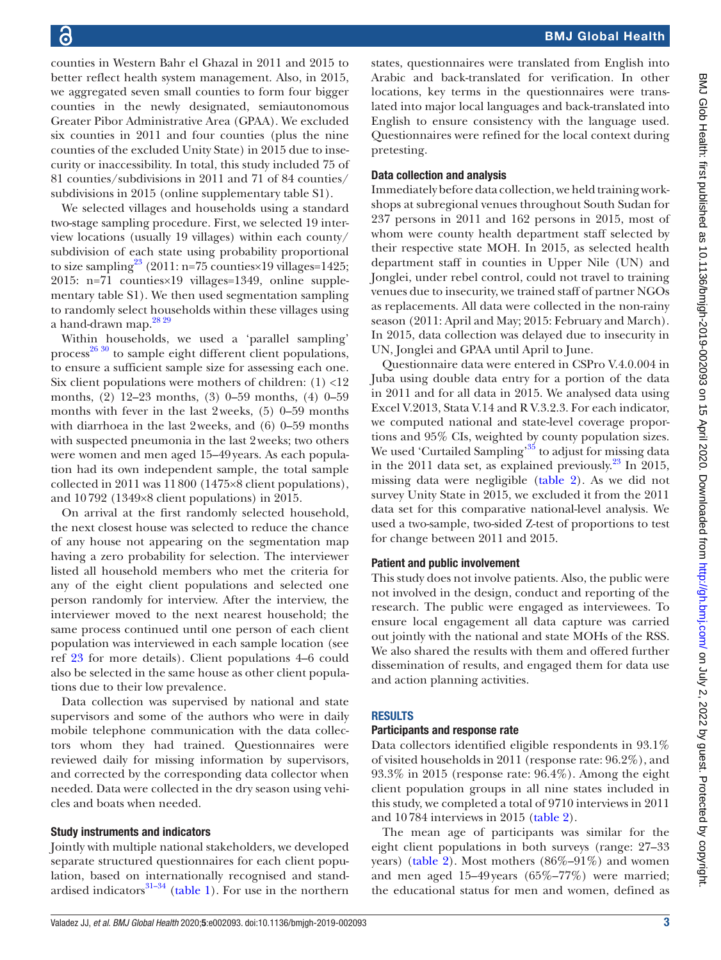counties in Western Bahr el Ghazal in 2011 and 2015 to better reflect health system management. Also, in 2015, we aggregated seven small counties to form four bigger counties in the newly designated, semiautonomous Greater Pibor Administrative Area (GPAA). We excluded six counties in 2011 and four counties (plus the nine counties of the excluded Unity State) in 2015 due to insecurity or inaccessibility. In total, this study included 75 of 81 counties/subdivisions in 2011 and 71 of 84 counties/ subdivisions in 2015 ([online supplementary table S1\)](https://dx.doi.org/10.1136/bmjgh-2019-002093).

We selected villages and households using a standard two-stage sampling procedure. First, we selected 19 interview locations (usually 19 villages) within each county/ subdivision of each state using probability proportional to size sampling<sup>23</sup> (2011: n=75 counties×19 villages=1425; 2015: n=71 counties×19 villages=1349, [online supple](https://dx.doi.org/10.1136/bmjgh-2019-002093)[mentary table S1](https://dx.doi.org/10.1136/bmjgh-2019-002093)). We then used segmentation sampling to randomly select households within these villages using a hand-drawn map.[28 29](#page-13-14)

Within households, we used a 'parallel sampling' process<sup>26 30</sup> to sample eight different client populations, to ensure a sufficient sample size for assessing each one. Six client populations were mothers of children:  $(1)$  <12 months, (2) 12–23 months, (3) 0–59 months, (4) 0–59 months with fever in the last 2weeks, (5) 0–59 months with diarrhoea in the last 2weeks, and (6) 0–59 months with suspected pneumonia in the last 2weeks; two others were women and men aged 15–49years. As each population had its own independent sample, the total sample collected in 2011 was 11800 (1475×8 client populations), and 10792 (1349×8 client populations) in 2015.

On arrival at the first randomly selected household, the next closest house was selected to reduce the chance of any house not appearing on the segmentation map having a zero probability for selection. The interviewer listed all household members who met the criteria for any of the eight client populations and selected one person randomly for interview. After the interview, the interviewer moved to the next nearest household; the same process continued until one person of each client population was interviewed in each sample location (see ref [23](#page-13-11) for more details). Client populations 4–6 could also be selected in the same house as other client populations due to their low prevalence.

Data collection was supervised by national and state supervisors and some of the authors who were in daily mobile telephone communication with the data collectors whom they had trained. Questionnaires were reviewed daily for missing information by supervisors, and corrected by the corresponding data collector when needed. Data were collected in the dry season using vehicles and boats when needed.

### Study instruments and indicators

Jointly with multiple national stakeholders, we developed separate structured questionnaires for each client population, based on internationally recognised and standardised indicators ${}^{31-34}$  ([table](#page-3-0) 1). For use in the northern

states, questionnaires were translated from English into Arabic and back-translated for verification. In other locations, key terms in the questionnaires were translated into major local languages and back-translated into English to ensure consistency with the language used. Questionnaires were refined for the local context during pretesting.

## Data collection and analysis

Immediately before data collection, we held training workshops at subregional venues throughout South Sudan for 237 persons in 2011 and 162 persons in 2015, most of whom were county health department staff selected by their respective state MOH. In 2015, as selected health department staff in counties in Upper Nile (UN) and Jonglei, under rebel control, could not travel to training venues due to insecurity, we trained staff of partner NGOs as replacements. All data were collected in the non-rainy season (2011: April and May; 2015: February and March). In 2015, data collection was delayed due to insecurity in UN, Jonglei and GPAA until April to June.

Questionnaire data were entered in CSPro V.4.0.004 in Juba using double data entry for a portion of the data in 2011 and for all data in 2015. We analysed data using Excel V.2013, Stata V.14 and R V.3.2.3. For each indicator, we computed national and state-level coverage proportions and 95% CIs, weighted by county population sizes. We used 'Curtailed Sampling'<sup>35</sup> to adjust for missing data in the 2011 data set, as explained previously.<sup>23</sup> In 2015, missing data were negligible [\(table](#page-5-0) 2). As we did not survey Unity State in 2015, we excluded it from the 2011 data set for this comparative national-level analysis. We used a two-sample, two-sided Z-test of proportions to test for change between 2011 and 2015.

# Patient and public involvement

This study does not involve patients. Also, the public were not involved in the design, conduct and reporting of the research. The public were engaged as interviewees. To ensure local engagement all data capture was carried out jointly with the national and state MOHs of the RSS. We also shared the results with them and offered further dissemination of results, and engaged them for data use and action planning activities.

# **RESULTS**

### Participants and response rate

Data collectors identified eligible respondents in 93.1% of visited households in 2011 (response rate: 96.2%), and 93.3% in 2015 (response rate: 96.4%). Among the eight client population groups in all nine states included in this study, we completed a total of 9710 interviews in 2011 and 10784 interviews in 2015 ([table](#page-5-0) 2).

The mean age of participants was similar for the eight client populations in both surveys (range: 27–33 years) ([table](#page-5-0) 2). Most mothers  $(86\%-91\%)$  and women and men aged 15–49years (65%–77%) were married; the educational status for men and women, defined as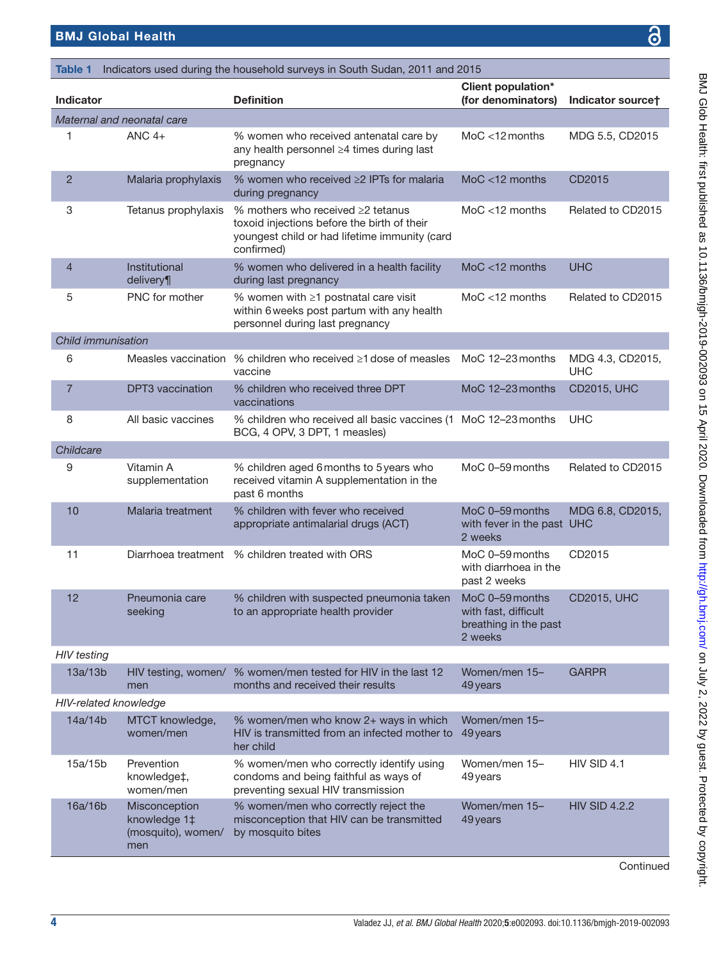<span id="page-3-0"></span>

| <b>Indicator</b>      |                                                            | <b>Definition</b>                                                                                                                                     | Client population*<br>(for denominators)                                    | Indicator source†              |
|-----------------------|------------------------------------------------------------|-------------------------------------------------------------------------------------------------------------------------------------------------------|-----------------------------------------------------------------------------|--------------------------------|
|                       | Maternal and neonatal care                                 |                                                                                                                                                       |                                                                             |                                |
| 1                     | $ANC 4+$                                                   | % women who received antenatal care by<br>any health personnel ≥4 times during last<br>pregnancy                                                      | $M0 <$ -12 months                                                           | MDG 5.5, CD2015                |
| $\overline{2}$        | Malaria prophylaxis                                        | % women who received ≥2 IPTs for malaria<br>during pregnancy                                                                                          | $M0 <$ 12 months                                                            | CD2015                         |
| 3                     | Tetanus prophylaxis                                        | % mothers who received $\geq 2$ tetanus<br>toxoid injections before the birth of their<br>youngest child or had lifetime immunity (card<br>confirmed) | $M0 <$ 12 months                                                            | Related to CD2015              |
| 4                     | Institutional<br>delivery¶                                 | % women who delivered in a health facility<br>during last pregnancy                                                                                   | $M0 <$ 12 months                                                            | <b>UHC</b>                     |
| 5                     | PNC for mother                                             | % women with ≥1 postnatal care visit<br>within 6 weeks post partum with any health<br>personnel during last pregnancy                                 | $M0 <$ 12 months                                                            | Related to CD2015              |
| Child immunisation    |                                                            |                                                                                                                                                       |                                                                             |                                |
| 6                     | Measles vaccination                                        | % children who received $\geq 1$ dose of measles<br>vaccine                                                                                           | MoC 12-23 months                                                            | MDG 4.3, CD2015,<br><b>UHC</b> |
| $\overline{7}$        | <b>DPT3</b> vaccination                                    | % children who received three DPT<br>vaccinations                                                                                                     | MoC 12-23 months                                                            | <b>CD2015, UHC</b>             |
| 8                     | All basic vaccines                                         | % children who received all basic vaccines (1<br>BCG, 4 OPV, 3 DPT, 1 measles)                                                                        | MoC 12-23 months                                                            | <b>UHC</b>                     |
| Childcare             |                                                            |                                                                                                                                                       |                                                                             |                                |
| 9                     | Vitamin A<br>supplementation                               | % children aged 6 months to 5 years who<br>received vitamin A supplementation in the<br>past 6 months                                                 | MoC 0-59 months                                                             | Related to CD2015              |
| 10                    | Malaria treatment                                          | % children with fever who received<br>appropriate antimalarial drugs (ACT)                                                                            | MoC 0-59 months<br>with fever in the past UHC<br>2 weeks                    | MDG 6.8, CD2015,               |
| 11                    | Diarrhoea treatment                                        | % children treated with ORS                                                                                                                           | MoC 0-59 months<br>with diarrhoea in the<br>past 2 weeks                    | CD2015                         |
| 12                    | Pneumonia care<br>seeking                                  | % children with suspected pneumonia taken<br>to an appropriate health provider                                                                        | MoC 0-59 months<br>with fast, difficult<br>breathing in the past<br>2 weeks | <b>CD2015, UHC</b>             |
| <b>HIV</b> testing    |                                                            |                                                                                                                                                       |                                                                             |                                |
| 13a/13b               | HIV testing, women/<br>men                                 | % women/men tested for HIV in the last 12<br>months and received their results                                                                        | Women/men 15-<br>49 years                                                   | <b>GARPR</b>                   |
| HIV-related knowledge |                                                            |                                                                                                                                                       |                                                                             |                                |
| 14a/14b               | MTCT knowledge,<br>women/men                               | % women/men who know 2+ ways in which<br>HIV is transmitted from an infected mother to<br>her child                                                   | Women/men 15-<br>49 years                                                   |                                |
| 15a/15b               | Prevention<br>knowledge‡,<br>women/men                     | % women/men who correctly identify using<br>condoms and being faithful as ways of<br>preventing sexual HIV transmission                               | Women/men 15-<br>49 years                                                   | HIV SID 4.1                    |
| 16a/16b               | Misconception<br>knowledge 1‡<br>(mosquito), women/<br>men | % women/men who correctly reject the<br>misconception that HIV can be transmitted<br>by mosquito bites                                                | Women/men 15-<br>49 years                                                   | <b>HIV SID 4.2.2</b>           |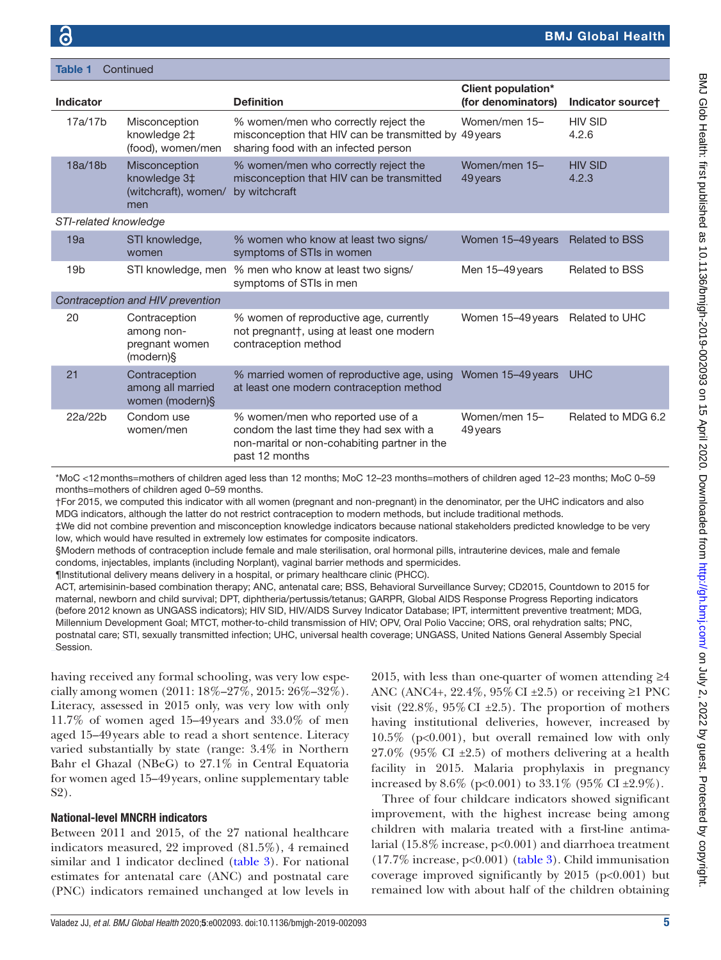| <b>Table 1</b>        | Continued                                                    |                                                                                                                                                 |                                          |                         |
|-----------------------|--------------------------------------------------------------|-------------------------------------------------------------------------------------------------------------------------------------------------|------------------------------------------|-------------------------|
| <b>Indicator</b>      |                                                              | <b>Definition</b>                                                                                                                               | Client population*<br>(for denominators) | Indicator sourcet       |
| 17a/17b               | Misconception<br>knowledge 2‡<br>(food), women/men           | % women/men who correctly reject the<br>misconception that HIV can be transmitted by 49 years<br>sharing food with an infected person           | Women/men 15-                            | <b>HIV SID</b><br>4.2.6 |
| 18a/18b               | Misconception<br>knowledge 3‡<br>(witchcraft), women/<br>men | % women/men who correctly reject the<br>misconception that HIV can be transmitted<br>by witchcraft                                              | Women/men 15-<br>49 years                | <b>HIV SID</b><br>4.2.3 |
| STI-related knowledge |                                                              |                                                                                                                                                 |                                          |                         |
| 19a                   | STI knowledge,<br>women                                      | % women who know at least two signs/<br>symptoms of STIs in women                                                                               | Women 15-49 years                        | <b>Related to BSS</b>   |
| 19 <sub>b</sub>       | STI knowledge, men                                           | % men who know at least two signs/<br>symptoms of STIs in men                                                                                   | Men 15-49 years                          | <b>Related to BSS</b>   |
|                       | Contraception and HIV prevention                             |                                                                                                                                                 |                                          |                         |
| 20                    | Contraception<br>among non-<br>pregnant women<br>(modern)§   | % women of reproductive age, currently<br>not pregnant†, using at least one modern<br>contraception method                                      | Women 15-49 years                        | Related to UHC          |
| 21                    | Contraception<br>among all married<br>women (modern)§        | % married women of reproductive age, using<br>at least one modern contraception method                                                          | Women 15-49 years                        | <b>UHC</b>              |
| 22a/22b               | Condom use<br>women/men                                      | % women/men who reported use of a<br>condom the last time they had sex with a<br>non-marital or non-cohabiting partner in the<br>past 12 months | Women/men 15-<br>49 years                | Related to MDG 6.2      |

\*MoC <12months=mothers of children aged less than 12 months; MoC 12–23 months=mothers of children aged 12–23 months; MoC 0–59 months=mothers of children aged 0–59 months.

†For 2015, we computed this indicator with all women (pregnant and non-pregnant) in the denominator, per the UHC indicators and also MDG indicators, although the latter do not restrict contraception to modern methods, but include traditional methods.

‡We did not combine prevention and misconception knowledge indicators because national stakeholders predicted knowledge to be very low, which would have resulted in extremely low estimates for composite indicators.

§Modern methods of contraception include female and male sterilisation, oral hormonal pills, intrauterine devices, male and female condoms, injectables, implants (including Norplant), vaginal barrier methods and spermicides.

¶Institutional delivery means delivery in a hospital, or primary healthcare clinic (PHCC).

ACT, artemisinin-based combination therapy; ANC, antenatal care; BSS, Behavioral Surveillance Survey; CD2015, Countdown to 2015 for maternal, newborn and child survival; DPT, diphtheria/pertussis/tetanus; GARPR, Global AIDS Response Progress Reporting indicators (before 2012 known as UNGASS indicators); HIV SID, HIV/AIDS Survey Indicator Database; IPT, intermittent preventive treatment; MDG, Millennium Development Goal; MTCT, mother-to-child transmission of HIV; OPV, Oral Polio Vaccine; ORS, oral rehydration salts; PNC, postnatal care; STI, sexually transmitted infection; UHC, universal health coverage; UNGASS, United Nations General Assembly Special Session.

having received any formal schooling, was very low especially among women (2011: 18%–27%, 2015: 26%–32%). Literacy, assessed in 2015 only, was very low with only 11.7% of women aged 15–49years and 33.0% of men aged 15–49years able to read a short sentence. Literacy varied substantially by state (range: 3.4% in Northern Bahr el Ghazal (NBeG) to 27.1% in Central Equatoria for women aged 15–49years, [online supplementary table](https://dx.doi.org/10.1136/bmjgh-2019-002093) [S2](https://dx.doi.org/10.1136/bmjgh-2019-002093)).

# National-level MNCRH indicators

Between 2011 and 2015, of the 27 national healthcare indicators measured, 22 improved (81.5%), 4 remained similar and 1 indicator declined [\(table](#page-6-0) 3). For national estimates for antenatal care (ANC) and postnatal care (PNC) indicators remained unchanged at low levels in

2015, with less than one-quarter of women attending  $\geq 4$ ANC (ANC4+,  $22.4\%$ ,  $95\%$  CI  $\pm 2.5$ ) or receiving  $\geq 1$  PNC visit (22.8%,  $95\%$  CI  $\pm$ 2.5). The proportion of mothers having institutional deliveries, however, increased by 10.5% (p<0.001), but overall remained low with only  $27.0\%$  (95% CI  $\pm 2.5$ ) of mothers delivering at a health facility in 2015. Malaria prophylaxis in pregnancy increased by 8.6% (p<0.001) to 33.1% (95% CI  $\pm 2.9$ %).

Three of four childcare indicators showed significant improvement, with the highest increase being among children with malaria treated with a first-line antimalarial (15.8% increase, p<0.001) and diarrhoea treatment  $(17.7\%$  increase,  $p<0.001$ ) [\(table](#page-6-0) 3). Child immunisation coverage improved significantly by  $2015$  (p<0.001) but remained low with about half of the children obtaining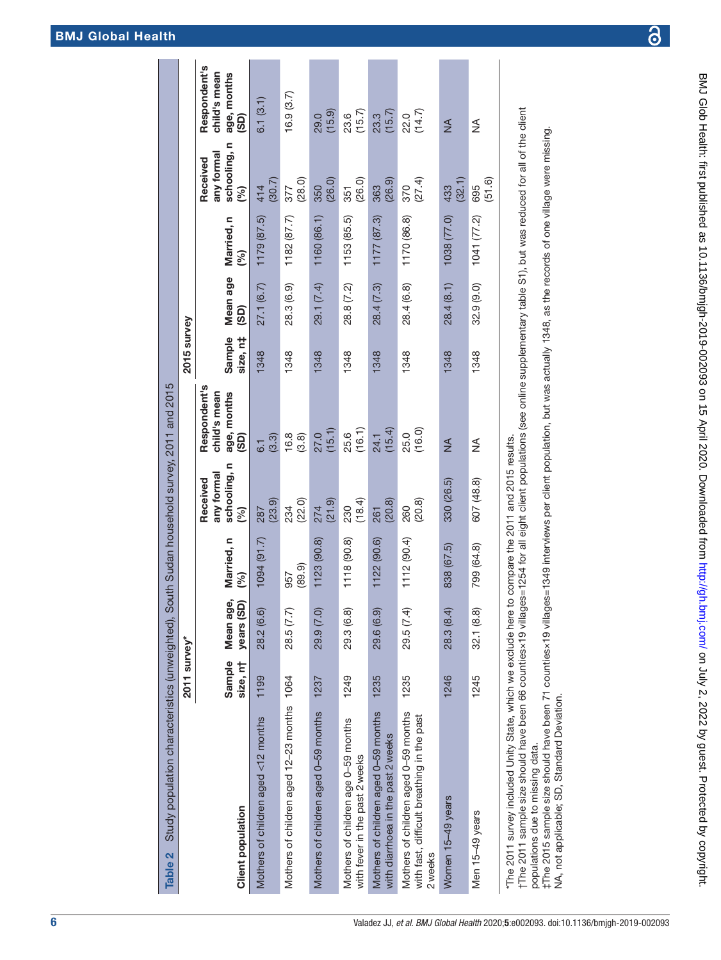<span id="page-5-0"></span>

| Study population characteristics (unweighted), South Sudan household survey, 2011 and 2015<br>Table 2                                                                                                                                                                                                                                                                                                                                                                                                                                                |                    |                         |                   |                                               |                                                     |                    |                  |                   |                                               |                                                     |
|------------------------------------------------------------------------------------------------------------------------------------------------------------------------------------------------------------------------------------------------------------------------------------------------------------------------------------------------------------------------------------------------------------------------------------------------------------------------------------------------------------------------------------------------------|--------------------|-------------------------|-------------------|-----------------------------------------------|-----------------------------------------------------|--------------------|------------------|-------------------|-----------------------------------------------|-----------------------------------------------------|
|                                                                                                                                                                                                                                                                                                                                                                                                                                                                                                                                                      | 2011 survey*       |                         |                   |                                               |                                                     | 2015 survey        |                  |                   |                                               |                                                     |
| Client population                                                                                                                                                                                                                                                                                                                                                                                                                                                                                                                                    | Sample<br>size, n† | Mean age,<br>years (SD) | Married, n<br>(%) | schooling, n<br>any formal<br>Received<br>(%) | Respondent's<br>child's mean<br>age, months<br>(GS) | Sample<br>size, n‡ | Mean age<br>(GD) | Married, n<br>(%) | schooling, n<br>any formal<br>Received<br>(%) | Respondent's<br>child's mean<br>age, months<br>(GD) |
| Mothers of children aged <12 months                                                                                                                                                                                                                                                                                                                                                                                                                                                                                                                  | 1199               | 28.2 (6.6)              | (7.1094(91.7))    | (23.9)<br>287                                 | (3.3)<br>$\overline{6}$ .                           | 1348               | 27.1 (6.7)       | 1179 (87.5)       | (30.7)<br>414                                 | 6.1(3.1)                                            |
| Mothers of children aged 12-23 months 1064                                                                                                                                                                                                                                                                                                                                                                                                                                                                                                           |                    | 28.5 (7.7)              | (89.9)<br>957     | (22.0)<br>234                                 | 16.8<br>(3.8)                                       | 1348               | 28.3 (6.9)       | 1182(87.7)        | (28.0)<br>377                                 | 16.9(3.7)                                           |
| Mothers of children aged 0-59 months                                                                                                                                                                                                                                                                                                                                                                                                                                                                                                                 | 1237               | 29.9 (7.0)              | 1123 (90.8)       | (21.9)<br>274                                 | (15.1)<br>27.0                                      | 1348               | 29.1 (7.4)       | 1160 (86.1)       | (26.0)<br>350                                 | (15.9)<br>29.0                                      |
| Mothers of children age 0-59 months<br>with fever in the past 2 weeks                                                                                                                                                                                                                                                                                                                                                                                                                                                                                | 1249               | 29.3 (6.8)              | 1118 (90.8)       | (18.4)<br>230                                 | (16.1)<br>25.6                                      | 1348               | 28.8 (7.2)       | 1153 (85.5)       | (26.0)<br>351                                 | (15.7)<br>23.6                                      |
| Mothers of children aged 0-59 months<br>with diarrhoea in the past 2 weeks                                                                                                                                                                                                                                                                                                                                                                                                                                                                           | 1235               | 29.6 (6.9)              | 1122 (90.6)       | (20.8)<br>261                                 | (15.4)<br>24.1                                      | 1348               | 28.4(7.3)        | 1177(87.3)        | (26.9)<br>363                                 | (15.7)<br>23.3                                      |
| Mothers of children aged 0-59 months<br>with fast, difficult breathing in the past<br>2weeks                                                                                                                                                                                                                                                                                                                                                                                                                                                         | 1235               | 29.5 (7.4)              | 1112(90.4)        | (20.8)<br>260                                 | (16.0)<br>25.0                                      | 1348               | 28.4 (6.8)       | 1170 (86.8)       | (27.4)<br>370                                 | (14.7)<br>22.0                                      |
| Women 15-49 years                                                                                                                                                                                                                                                                                                                                                                                                                                                                                                                                    | 1246               | 28.3(8.4)               | 838 (67.5)        | 330 (26.5)                                    | $\frac{1}{2}$                                       | 1348               | 28.4(8.1)        | 1038 (77.0)       | (32.1)<br>433                                 | $\frac{1}{2}$                                       |
| Men 15-49 years                                                                                                                                                                                                                                                                                                                                                                                                                                                                                                                                      | 1245               | 32.1 (8.8)              | 799 (64.8)        | 607 (48.8)                                    | ≸                                                   | 1348               | 32.9(9.0)        | 1041(77.2)        | (51.6)<br>695                                 | ≸                                                   |
| tThe 2011 sample size should have been 66 countiesx19 villages=1254 for all eight client populations (see online supplementary table S1), but was reduced for all of the client<br>‡The 2015 sample size should have been 71 counties×19 villages=1349 interviews per client population, but was actually 1348, as the records of one village were missing.<br>*The 2011 survey included Unity State, which we exclude here to compare the 2011 and 2015 results.<br>NA, not applicable; SD, Standard Deviation.<br>populations due to missing data. |                    |                         |                   |                                               |                                                     |                    |                  |                   |                                               |                                                     |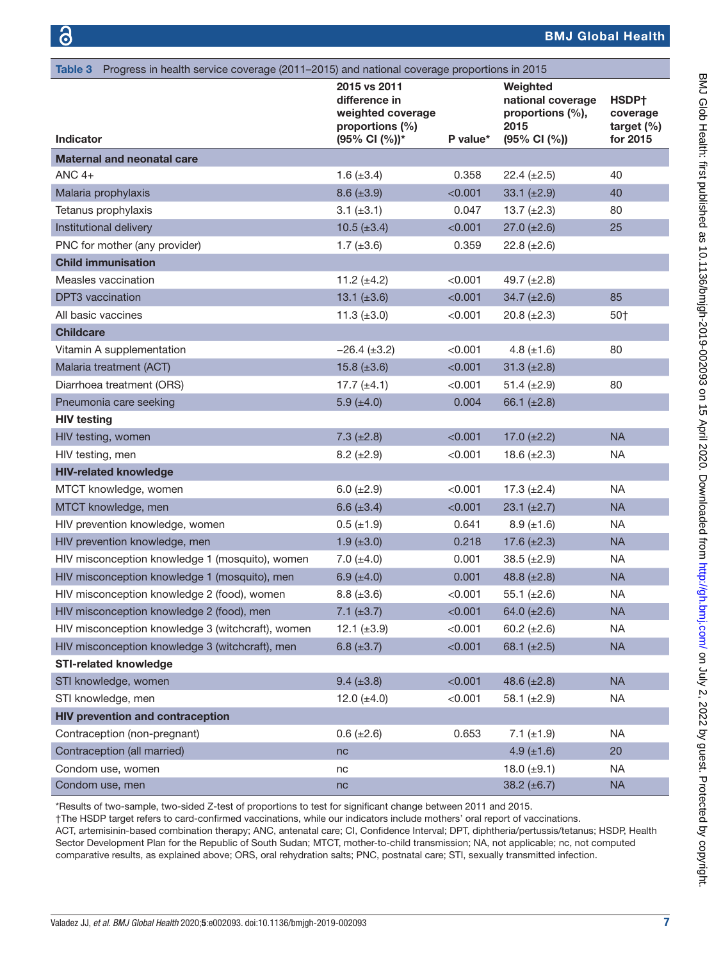<span id="page-6-0"></span>

| Table 3 Progress in health service coverage (2011-2015) and national coverage proportions in 2015 |                                                                                        |          |                                                                                        |                                                 |
|---------------------------------------------------------------------------------------------------|----------------------------------------------------------------------------------------|----------|----------------------------------------------------------------------------------------|-------------------------------------------------|
| <b>Indicator</b>                                                                                  | 2015 vs 2011<br>difference in<br>weighted coverage<br>proportions (%)<br>(95% CI (%))* | P value* | Weighted<br>national coverage<br>proportions (%),<br>2015<br>$(95\% \text{ CI } (\%))$ | HSDP†<br>coverage<br>target $(\% )$<br>for 2015 |
| <b>Maternal and neonatal care</b>                                                                 |                                                                                        |          |                                                                                        |                                                 |
| $ANC$ 4+                                                                                          | 1.6 $(\pm 3.4)$                                                                        | 0.358    | $22.4 (\pm 2.5)$                                                                       | 40                                              |
| Malaria prophylaxis                                                                               | $8.6 (\pm 3.9)$                                                                        | < 0.001  | 33.1 $(\pm 2.9)$                                                                       | 40                                              |
| Tetanus prophylaxis                                                                               | $3.1 (\pm 3.1)$                                                                        | 0.047    | 13.7 $(\pm 2.3)$                                                                       | 80                                              |
| Institutional delivery                                                                            | 10.5 $(\pm 3.4)$                                                                       | < 0.001  | $27.0 (\pm 2.6)$                                                                       | 25                                              |
| PNC for mother (any provider)                                                                     | 1.7 $(\pm 3.6)$                                                                        | 0.359    | $22.8 (\pm 2.6)$                                                                       |                                                 |
| <b>Child immunisation</b>                                                                         |                                                                                        |          |                                                                                        |                                                 |
| Measles vaccination                                                                               | 11.2 $(\pm 4.2)$                                                                       | < 0.001  | 49.7 $(\pm 2.8)$                                                                       |                                                 |
| <b>DPT3</b> vaccination                                                                           | 13.1 $(\pm 3.6)$                                                                       | < 0.001  | 34.7 $(\pm 2.6)$                                                                       | 85                                              |
| All basic vaccines                                                                                | 11.3 $(\pm 3.0)$                                                                       | < 0.001  | $20.8 \ (\pm 2.3)$                                                                     | 50 <sub>†</sub>                                 |
| <b>Childcare</b>                                                                                  |                                                                                        |          |                                                                                        |                                                 |
| Vitamin A supplementation                                                                         | $-26.4 \ (\pm 3.2)$                                                                    | < 0.001  | 4.8 $(\pm 1.6)$                                                                        | 80                                              |
| Malaria treatment (ACT)                                                                           | $15.8 (\pm 3.6)$                                                                       | < 0.001  | $31.3 \ (\pm 2.8)$                                                                     |                                                 |
| Diarrhoea treatment (ORS)                                                                         | 17.7 $(\pm 4.1)$                                                                       | < 0.001  | 51.4 $(\pm 2.9)$                                                                       | 80                                              |
| Pneumonia care seeking                                                                            | 5.9 $(\pm 4.0)$                                                                        | 0.004    | 66.1 $(\pm 2.8)$                                                                       |                                                 |
| <b>HIV testing</b>                                                                                |                                                                                        |          |                                                                                        |                                                 |
| HIV testing, women                                                                                | $7.3 (\pm 2.8)$                                                                        | < 0.001  | 17.0 $(\pm 2.2)$                                                                       | <b>NA</b>                                       |
| HIV testing, men                                                                                  | $8.2 \ (\pm 2.9)$                                                                      | < 0.001  | 18.6 $(\pm 2.3)$                                                                       | <b>NA</b>                                       |
| <b>HIV-related knowledge</b>                                                                      |                                                                                        |          |                                                                                        |                                                 |
| MTCT knowledge, women                                                                             | $6.0 (\pm 2.9)$                                                                        | < 0.001  | 17.3 $(\pm 2.4)$                                                                       | <b>NA</b>                                       |
| MTCT knowledge, men                                                                               | $6.6 (\pm 3.4)$                                                                        | < 0.001  | $23.1 (\pm 2.7)$                                                                       | <b>NA</b>                                       |
| HIV prevention knowledge, women                                                                   | $0.5 (\pm 1.9)$                                                                        | 0.641    | $8.9 \ (\pm 1.6)$                                                                      | <b>NA</b>                                       |
| HIV prevention knowledge, men                                                                     | $1.9 \ (\pm 3.0)$                                                                      | 0.218    | 17.6 $(\pm 2.3)$                                                                       | <b>NA</b>                                       |
| HIV misconception knowledge 1 (mosquito), women                                                   | 7.0 $(\pm 4.0)$                                                                        | 0.001    | $38.5 (\pm 2.9)$                                                                       | NA                                              |
| HIV misconception knowledge 1 (mosquito), men                                                     | 6.9 $(\pm 4.0)$                                                                        | 0.001    | 48.8 $(\pm 2.8)$                                                                       | <b>NA</b>                                       |
| HIV misconception knowledge 2 (food), women                                                       | $8.8 (\pm 3.6)$                                                                        | < 0.001  | 55.1 $(\pm 2.6)$                                                                       | NA                                              |
| HIV misconception knowledge 2 (food), men                                                         | $7.1 (\pm 3.7)$                                                                        | < 0.001  | 64.0 $(\pm 2.6)$                                                                       | <b>NA</b>                                       |
| HIV misconception knowledge 3 (witchcraft), women                                                 | 12.1 $(\pm 3.9)$                                                                       | < 0.001  | 60.2 $(\pm 2.6)$                                                                       | <b>NA</b>                                       |
| HIV misconception knowledge 3 (witchcraft), men                                                   | 6.8 $(\pm 3.7)$                                                                        | < 0.001  | 68.1 $(\pm 2.5)$                                                                       | <b>NA</b>                                       |
| <b>STI-related knowledge</b>                                                                      |                                                                                        |          |                                                                                        |                                                 |
| STI knowledge, women                                                                              | $9.4 (\pm 3.8)$                                                                        | < 0.001  | 48.6 $(\pm 2.8)$                                                                       | <b>NA</b>                                       |
| STI knowledge, men                                                                                | 12.0 $(\pm 4.0)$                                                                       | < 0.001  | 58.1 $(\pm 2.9)$                                                                       | NA                                              |
| <b>HIV prevention and contraception</b>                                                           |                                                                                        |          |                                                                                        |                                                 |
| Contraception (non-pregnant)                                                                      | $0.6 (\pm 2.6)$                                                                        | 0.653    | 7.1 $(\pm 1.9)$                                                                        | NA                                              |
| Contraception (all married)                                                                       | nc                                                                                     |          | 4.9 $(\pm 1.6)$                                                                        | 20                                              |
| Condom use, women                                                                                 | nc                                                                                     |          | 18.0 $(\pm 9.1)$                                                                       | NA                                              |
| Condom use, men                                                                                   | nc                                                                                     |          | 38.2 $(\pm 6.7)$                                                                       | NA                                              |

\*Results of two-sample, two-sided Z-test of proportions to test for significant change between 2011 and 2015.

†The HSDP target refers to card-confirmed vaccinations, while our indicators include mothers' oral report of vaccinations. ACT, artemisinin-based combination therapy; ANC, antenatal care; CI, Confidence Interval; DPT, diphtheria/pertussis/tetanus; HSDP, Health Sector Development Plan for the Republic of South Sudan; MTCT, mother-to-child transmission; NA, not applicable; nc, not computed comparative results, as explained above; ORS, oral rehydration salts; PNC, postnatal care; STI, sexually transmitted infection.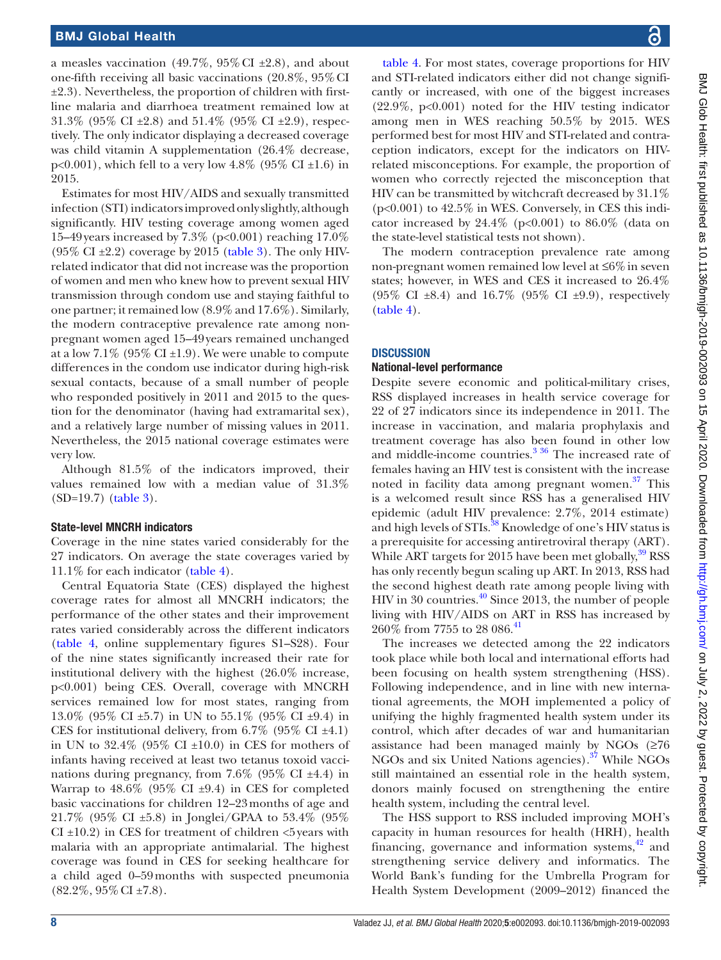a measles vaccination  $(49.7\%, 95\% \text{ CI } \pm 2.8)$ , and about one-fifth receiving all basic vaccinations (20.8%, 95%CI  $\pm$ 2.3). Nevertheless, the proportion of children with firstline malaria and diarrhoea treatment remained low at 31.3% (95% CI  $\pm 2.8$ ) and 51.4% (95% CI  $\pm 2.9$ ), respectively. The only indicator displaying a decreased coverage was child vitamin A supplementation (26.4% decrease, p<0.001), which fell to a very low  $4.8\%$  (95% CI  $\pm$ 1.6) in 2015.

Estimates for most HIV/AIDS and sexually transmitted infection (STI) indicators improved only slightly, although significantly. HIV testing coverage among women aged 15–49years increased by 7.3% (p<0.001) reaching 17.0%  $(95\% \text{ CI} \pm 2.2)$  coverage by 2015 [\(table](#page-6-0) 3). The only HIVrelated indicator that did not increase was the proportion of women and men who knew how to prevent sexual HIV transmission through condom use and staying faithful to one partner; it remained low (8.9% and 17.6%). Similarly, the modern contraceptive prevalence rate among nonpregnant women aged 15–49years remained unchanged at a low  $7.1\%$  (95% CI  $\pm$ 1.9). We were unable to compute differences in the condom use indicator during high-risk sexual contacts, because of a small number of people who responded positively in 2011 and 2015 to the question for the denominator (having had extramarital sex), and a relatively large number of missing values in 2011. Nevertheless, the 2015 national coverage estimates were very low.

Although 81.5% of the indicators improved, their values remained low with a median value of 31.3% (SD=19.7) ([table](#page-6-0) 3).

# State-level MNCRH indicators

Coverage in the nine states varied considerably for the 27 indicators. On average the state coverages varied by 11.1% for each indicator ([table](#page-8-0) 4).

Central Equatoria State (CES) displayed the highest coverage rates for almost all MNCRH indicators; the performance of the other states and their improvement rates varied considerably across the different indicators ([table](#page-8-0) 4, [online supplementary figures S1–S28\)](https://dx.doi.org/10.1136/bmjgh-2019-002093). Four of the nine states significantly increased their rate for institutional delivery with the highest (26.0% increase, p<0.001) being CES. Overall, coverage with MNCRH services remained low for most states, ranging from 13.0% (95% CI  $\pm$ 5.7) in UN to 55.1% (95% CI  $\pm$ 9.4) in CES for institutional delivery, from  $6.7\%$  (95\% CI  $\pm$ 4.1) in UN to  $32.4\%$  (95% CI  $\pm 10.0$ ) in CES for mothers of infants having received at least two tetanus toxoid vaccinations during pregnancy, from  $7.6\%$  (95% CI  $\pm$ 4.4) in Warrap to  $48.6\%$  (95% CI ±9.4) in CES for completed basic vaccinations for children 12–23months of age and 21.7% (95% CI ±5.8) in Jonglei/GPAA to 53.4% (95%  $CI \pm 10.2$ ) in CES for treatment of children  $\leq 5$  years with malaria with an appropriate antimalarial. The highest coverage was found in CES for seeking healthcare for a child aged 0–59months with suspected pneumonia  $(82.2\%, 95\% \text{ CI } \pm 7.8).$ 

[table](#page-8-0) 4. For most states, coverage proportions for HIV and STI-related indicators either did not change significantly or increased, with one of the biggest increases (22.9%, p<0.001) noted for the HIV testing indicator among men in WES reaching 50.5% by 2015. WES performed best for most HIV and STI-related and contraception indicators, except for the indicators on HIVrelated misconceptions. For example, the proportion of women who correctly rejected the misconception that HIV can be transmitted by witchcraft decreased by 31.1%  $(p<0.001)$  to 42.5% in WES. Conversely, in CES this indicator increased by  $24.4\%$  (p<0.001) to 86.0% (data on the state-level statistical tests not shown).

The modern contraception prevalence rate among non-pregnant women remained low level at ≤6%in seven states; however, in WES and CES it increased to 26.4% (95% CI  $\pm 8.4$ ) and 16.7% (95% CI  $\pm 9.9$ ), respectively  $(table 4).$  $(table 4).$ 

# **DISCUSSION**

## National-level performance

Despite severe economic and political-military crises, RSS displayed increases in health service coverage for 22 of 27 indicators since its independence in 2011. The increase in vaccination, and malaria prophylaxis and treatment coverage has also been found in other low and middle-income countries.<sup>3 36</sup> The increased rate of females having an HIV test is consistent with the increase noted in facility data among pregnant women.<sup>[37](#page-13-17)</sup> This is a welcomed result since RSS has a generalised HIV epidemic (adult HIV prevalence: 2.7%, 2014 estimate) and high levels of STIs.<sup>[38](#page-13-18)</sup> Knowledge of one's HIV status is a prerequisite for accessing antiretroviral therapy (ART). While ART targets for 2015 have been met globally,  $39$  RSS has only recently begun scaling up ART. In 2013, RSS had the second highest death rate among people living with HIV in 30 countries. $40$  Since 2013, the number of people living with HIV/AIDS on ART in RSS has increased by 260% from 7755 to 28 086[.41](#page-13-21)

The increases we detected among the 22 indicators took place while both local and international efforts had been focusing on health system strengthening (HSS). Following independence, and in line with new international agreements, the MOH implemented a policy of unifying the highly fragmented health system under its control, which after decades of war and humanitarian assistance had been managed mainly by NGOs (≥76 NGOs and six United Nations agencies).<sup>[37](#page-13-17)</sup> While NGOs still maintained an essential role in the health system, donors mainly focused on strengthening the entire health system, including the central level.

The HSS support to RSS included improving MOH's capacity in human resources for health (HRH), health financing, governance and information systems, $42$  and strengthening service delivery and informatics. The World Bank's funding for the Umbrella Program for Health System Development (2009–2012) financed the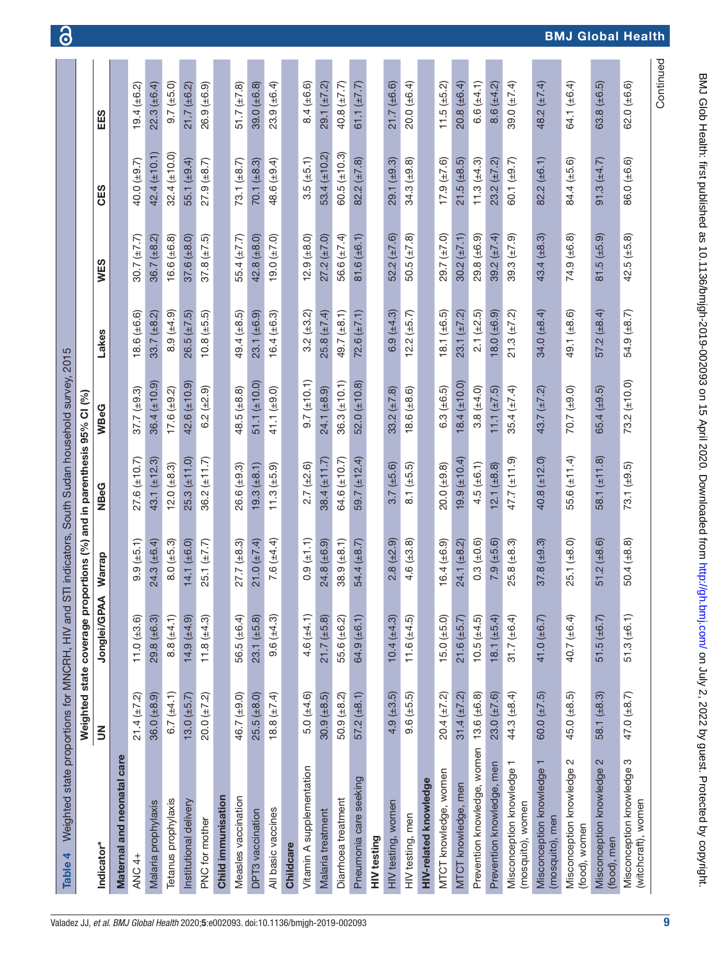| Weighted state proportions for MNCRH, HIV and STI indicators,<br>Table 4 |                    |                             |                    | South Sudan household survey,              |                     | 2015               |                     |                    |                  |
|--------------------------------------------------------------------------|--------------------|-----------------------------|--------------------|--------------------------------------------|---------------------|--------------------|---------------------|--------------------|------------------|
|                                                                          |                    | Weighted state coverage pro |                    | portions (%) and in parenthesis 95% CI (%) |                     |                    |                     |                    |                  |
| Indicator*                                                               | $\leq$             | Jonglei/GPAA                | Warrap             | <b>NBeG</b>                                | <b>WBeG</b>         | Lakes              | WES                 | CES                | EES              |
| Maternal and neonatal care                                               |                    |                             |                    |                                            |                     |                    |                     |                    |                  |
| <b>ANC 4+</b>                                                            | $21.4 (\pm 7.2)$   | $11.0 (+3.6)$               | $9.9 (\pm 5.1)$    | $27.6 (+10.7)$                             | $37.7 (\pm 9.3)$    | $18.6 (\pm 6.6)$   | 30.7 $(\pm 7.7)$    | 40.0 (±9.7)        | $19.4 (\pm 6.2)$ |
| Malaria prophylaxis                                                      | $36.0 (+8.9)$      | $29.8 (\pm 6.3)$            | $24.3 (\pm 6.4)$   | 43.1 $(\pm 12.3)$                          | $36.4 \ (\pm 10.9)$ | $33.7 (\pm 8.2)$   | $36.7 \, (\pm 8.2)$ | $42.4 (\pm 10.1)$  | $22.3 (\pm 6.4)$ |
| Tetanus prophylaxis                                                      | $6.7 (\pm 4.1)$    | $8.8 (\pm 4.1)$             | $8.0 (+5.3)$       | $12.0 (+8.3)$                              | $17.6 (\pm 9.2)$    | $8.9 (+4.9)$       | $16.6 (\pm 6.8)$    | $32.4 (\pm 10.0)$  | $9.7 (\pm 5.0)$  |
| Institutional delivery                                                   | $13.0 (+5.7)$      | $14.9 (+4.9)$               | $14.1 (\pm 6.0)$   | $25.3 (\pm 11.0)$                          | $42.6 (\pm 10.9)$   | $26.5 (\pm 7.5)$   | $37.6(\pm8.0)$      | $55.1 (+9.4)$      | $21.7 (\pm 6.2)$ |
| PNC for mother                                                           | $20.0 (+7.2)$      | $11.8 (+4.3)$               | $25.1 (\pm 7.7)$   | $36.2 (\pm 11.7)$                          | $6.2 (\pm 2.9)$     | $10.8 (\pm 5.5)$   | $37.8 (\pm 7.5)$    | $27.9 (+8.7)$      | $26.9 (+6.9)$    |
| Child immunisation                                                       |                    |                             |                    |                                            |                     |                    |                     |                    |                  |
| Measles vaccination                                                      | $46.7 (\pm 9.0)$   | $56.5 (\pm 6.4)$            | $27.7(\pm 8.3)$    | $26.6(\pm 9.3)$                            | $48.5 \ (\pm 8.8)$  | $49.4 \ (\pm 8.5)$ | 55.4 (±7.7)         | $73.1 (\pm 8.7)$   | $51.7 (\pm 7.8)$ |
| DPT3 vaccination                                                         | $25.5 (\pm 8.0)$   | $23.1 (\pm 5.8)$            | $21.0 (+7.4)$      | $19.3 \ (\pm 8.1)$                         | $51.1 (\pm 10.0)$   | $23.1 (\pm 6.9)$   | $42.8 (\pm 8.0)$    | $70.1 (\pm 8.3)$   | 39.0 $(\pm 6.8)$ |
| All basic vaccines                                                       | (4.74)             | $9.6 (\pm 4.3)$             | 7.6 $(\pm 4.4)$    | $11.3 (\pm 5.9)$                           | $(0.67)$ 1.14       | $16.4 (\pm 6.3)$   | $19.0 \ (\pm 7.0)$  | 48.6 (±9.4)        | $23.9 (+6.4)$    |
| Childcare                                                                |                    |                             |                    |                                            |                     |                    |                     |                    |                  |
| Vitamin A supplementation                                                | $5.0 (+4.6)$       | 4.6 $(\pm 4.1)$             | $0.9 (\pm 1.1)$    | $2.7 (\pm 2.6)$                            | $9.7 \ (\pm 10.1)$  | $3.2 (\pm 3.2)$    | $12.9 (\pm 8.0)$    | $3.5(\pm 5.1)$     | $8.4(\pm 6.6)$   |
| Malaria treatment                                                        | $30.9 \ (\pm 8.5)$ | $21.7 (\pm 5.8)$            | $24.8 (\pm 6.9)$   | $38.4 (\pm 11.7)$                          | $24.1 (\pm 8.9)$    | $25.8 (\pm 7.4)$   | $27.2 (\pm 7.0)$    | $53.4 (\pm 10.2)$  | $29.1 (\pm 7.2)$ |
| Diarrhoea treatment                                                      | $50.9 (+8.2)$      | 55.6 (±6.2)                 | $38.9 \ (\pm 8.1)$ | 64.6 $(\pm 10.7)$                          | $36.3 (\pm 10.1)$   | 49.7 (±8.1)        | 56.6 (±7.4)         | $60.5 (\pm 10.3)$  | 40.8 $(\pm 7.7)$ |
| Pneumonia care seeking                                                   | $57.2 (\pm 8.1)$   | 64.9 $(\pm 6.1)$            | 54.4 (±8.7)        | 59.7 (±12.4)                               | $52.0 (+10.8)$      | $72.6 (\pm 7.1)$   | $81.6 (\pm 6.1)$    | $82.2 (\pm 7.8)$   | 61.1 $(\pm 7.7)$ |
| <b>HIV</b> testing                                                       |                    |                             |                    |                                            |                     |                    |                     |                    |                  |
| HIV testing, women                                                       | $4.9 (+3.5)$       | $10.4 \ (\pm 4.3)$          | $2.8(\pm2.9)$      | $3.7 (\pm 5.6)$                            | $33.2 (\pm 7.8)$    | 6.9 $(\pm 4.3)$    | $52.2 (\pm 7.6)$    | $29.1 (+9.3)$      | $21.7 (\pm 6.6)$ |
| HIV testing, men                                                         | $9.6 (\pm 5.5)$    | $11.6 (\pm 4.5)$            | $4.6(\pm 3.8)$     | $8.1 (\pm 5.5)$                            | $18.6 (\pm 8.6)$    | $12.2 (+5.7)$      | 50.5 $(\pm 7.8)$    | $34.3 (\pm 9.8)$   | $20.0 (+6.4)$    |
| HIV-related knowledge                                                    |                    |                             |                    |                                            |                     |                    |                     |                    |                  |
| MTCT knowledge, women                                                    | $20.4 (\pm 7.2)$   | $15.0 (\pm 5.0)$            | $16.4 (\pm 6.9)$   | $20.0 (+9.8)$                              | $6.3 (\pm 6.5)$     | $18.1 (\pm 6.5)$   | $29.7 (\pm 7.0)$    | $17.9 (\pm 7.6)$   | $11.5 (\pm 5.2)$ |
| MTCT knowledge, men                                                      | 31.4 $(\pm 7.2)$   | $21.6 (\pm 5.7)$            | $24.1 (\pm 8.2)$   | $19.9 (\pm 10.4)$                          | $8.4 (\pm 10.0)$    | $23.1 (\pm 7.2)$   | $30.2 (\pm 7.1)$    | $21.5 (\pm 8.5)$   | $20.8 (\pm 6.4)$ |
| Prevention knowledge, women                                              | $13.6(\pm 6.8)$    | $10.5 (\pm 4.5)$            | $0.3 (+0.6)$       | $4.5 (\pm 6.1)$                            | $3.8 (\pm 4.0)$     | $2.1 (\pm 2.5)$    | $29.8 (\pm 6.9)$    | $11.3 (\pm 4.3)$   | 6.6 $(\pm 4.1)$  |
| Prevention knowledge, men                                                | $23.0 (+7.6)$      | $18.1 (\pm 5.4)$            | $7.9 (+5.6)$       | $12.1 (+8.8)$                              | $11.1 (\pm 7.5)$    | $18.0 (+6.9)$      | 39.2 $(\pm 7.4)$    | $23.2 (\pm 7.2)$   | $8.6 (\pm 4.2)$  |
| Misconception knowledge 1<br>(mosquito), women                           | $44.3 (\pm 8.4)$   | $31.7 (\pm 6.4)$            | $25.8(\pm 8.3)$    | $47.7 (\pm 1.9)$                           | $35.4 (\pm 7.4)$    | $21.3 (\pm 7.2)$   | $39.3 (\pm 7.9)$    | 60.1 $(\pm 9.7)$   | 39.0 $(\pm 7.4)$ |
| Misconception knowledge 1<br>(mosquito), men                             | 60.0 $(\pm 7.5)$   | 41.0 $(\pm 6.7)$            | $37.8 (\pm 9.3)$   | $40.8 (\pm 12.0)$                          | 43.7 $(\pm 7.2)$    | $34.0 (=8.4)$      | $43.4 \ (\pm 8.3)$  | $82.2 \ (\pm 6.1)$ | 48.2 $(\pm 7.4)$ |
| Misconception knowledge 2<br>(food), women                               | $45.0 (+8.5)$      | 40.7 ( $\pm$ 6.4)           | $25.1 (\pm 8.0)$   | $55.6 (\pm 11.4)$                          | 70.7 (9.0)          | $49.1 (\pm 8.6)$   | $74.9 (\pm 6.8)$    | 84.4 (±5.6)        | 64.1 (±6.4)      |
| $\mathbf{\Omega}$<br>Misconception knowledge<br>(food), men              | 58.1 (±8.3)        | $51.5 (\pm 6.7)$            | $51.2 (\pm 8.6)$   | 58.1 $(\pm 1.8)$                           | $65.4 \ (\pm 9.5)$  | $57.2 (\pm 8.4)$   | $81.5 \ (\pm 5.9)$  | $91.3 (+4.7)$      | $63.8 (\pm 6.5)$ |
| Misconception knowledge 3<br>(witchcraft), women                         | 47.0 $(\pm 8.7)$   | $51.3 (\pm 6.1)$            | $50.4 (\pm 8.8)$   | $73.1 (\pm 9.5)$                           | $73.2 (\pm 10.0)$   | 54.9 (±8.7)        | $42.5 (\pm 5.8)$    | 86.0 (±6.6)        | $62.0 (+6.6)$    |
|                                                                          |                    |                             |                    |                                            |                     |                    |                     |                    | Continued        |

<span id="page-8-0"></span>9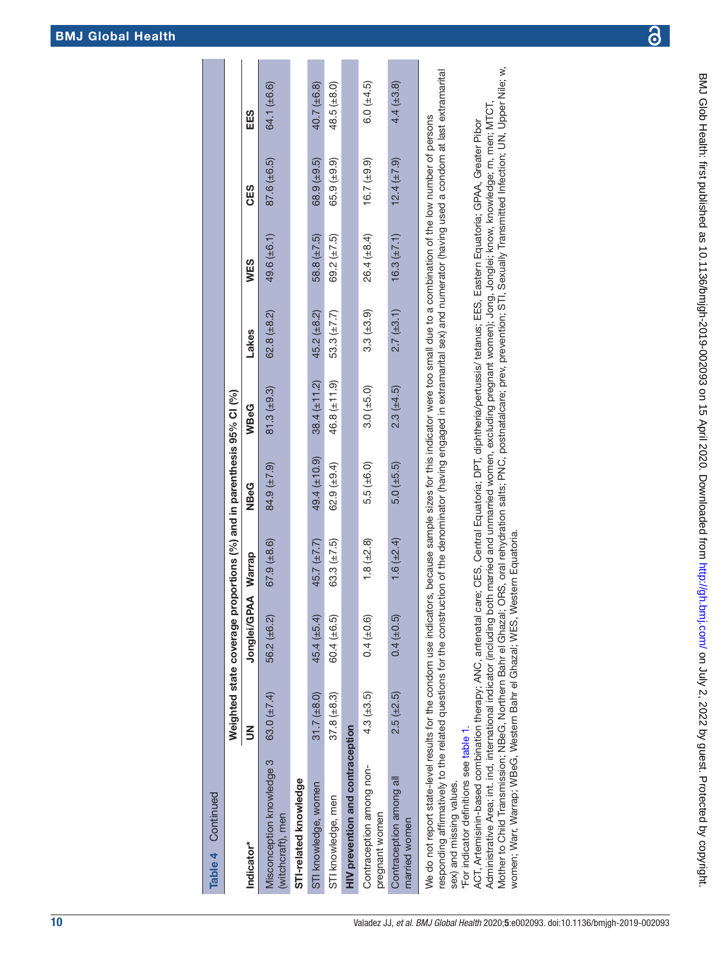$\overline{1}$ 

J.

| Table 4 Continued                                                                                                                                                                                                                                                                                                                            |                  |                                                                                                                             |                  |                  |                    |                   |                    |                  |                   |
|----------------------------------------------------------------------------------------------------------------------------------------------------------------------------------------------------------------------------------------------------------------------------------------------------------------------------------------------|------------------|-----------------------------------------------------------------------------------------------------------------------------|------------------|------------------|--------------------|-------------------|--------------------|------------------|-------------------|
|                                                                                                                                                                                                                                                                                                                                              |                  | Weighted state coverage proportions $\left({}^o\!\varphi_0\right)$ and in parenthesis 95% CI $\left({}^o\!\varphi_0\right)$ |                  |                  |                    |                   |                    |                  |                   |
| Indicator*                                                                                                                                                                                                                                                                                                                                   | $\overline{5}$   | Jonglei/GPAA                                                                                                                | Warrap           | <b>NBeG</b>      | <b>WBeG</b>        | Lakes             | WES                | CES              | EES               |
| Misconception knowledge 3<br>(witchcraft), men                                                                                                                                                                                                                                                                                               | 63.0 $(\pm 7.4)$ | 56.2 (±6.2)                                                                                                                 | $67.9 (+8.6)$    | $84.9 (\pm 7.9)$ | $81.3 \ (\pm 9.3)$ | $62.8 (\pm 8.2)$  | 49.6 (±6.1)        | $87.6(\pm 6.5)$  | 64.1 (±6.6)       |
| STI-related knowledge                                                                                                                                                                                                                                                                                                                        |                  |                                                                                                                             |                  |                  |                    |                   |                    |                  |                   |
| STI knowledge, women                                                                                                                                                                                                                                                                                                                         | $31.7 (\pm 8.0)$ | $45.4 (\pm 5.4)$                                                                                                            | 45.7 $(\pm 7.7)$ | 49.4 (±10.9)     | $38.4 (\pm 11.2)$  | $45.2(\pm 8.2)$   | $58.8 (\pm 7.5)$   | $68.9 (+9.5)$    | 40.7 ( $\pm$ 6.8) |
| STI knowledge, men                                                                                                                                                                                                                                                                                                                           | $37.8(\pm 8.3)$  | $60.4 (\pm 6.5)$                                                                                                            | $63.3 (\pm 7.5)$ | $62.9 (+9.4)$    | $46.8 (\pm 11.9)$  | 53.3 $(\pm 7.7)$  | 69.2 $(\pm 7.5)$   | $65.9 (+9.9)$    | $48.5(\pm 8.0)$   |
| HIV prevention and contraception                                                                                                                                                                                                                                                                                                             |                  |                                                                                                                             |                  |                  |                    |                   |                    |                  |                   |
| Contraception among non-<br>pregnant women                                                                                                                                                                                                                                                                                                   | $4.3 (\pm 3.5)$  | 0.4(1.6)                                                                                                                    | $1.8 (\pm 2.8)$  | $5.5(\pm 6.0)$   | $3.0 (+5.0)$       | $3.3 (\pm 3.9)$   | $26.4(\pm 8.4)$    | 16.7 (±9.9)      | $6.0 (+4.5)$      |
| Contraception among all<br>married women                                                                                                                                                                                                                                                                                                     | $2.5 (\pm 2.5)$  | $0.4 (= 0.5)$                                                                                                               | 1.6 $(\pm 2.4)$  | $5.0 (+5.5)$     | $2.3(\pm 4.5)$     | $2.7 \ (\pm 3.1)$ | $16.3 \ (\pm 7.1)$ | $12.4 (\pm 7.9)$ | 4.4(±3.8)         |
| comparison of the related questions for the construction of the depopinator (baying engaged in extrapred and pulled pulled incode a condom of last extrapred<br>We do not report state-level results for the condom use indicators, because sample sizes for this indicator were too small due to a combination of the low number of persons |                  |                                                                                                                             |                  |                  |                    |                   |                    |                  |                   |

responding affirmatively to the related questions for the construction of the denominator (having engaged in extramarital sex) and numerator (having used a condom at last extramarital responding altituding the relation of the construction of the construction of the sext and sext and to the concluding the concluding the constructions for the concluding and are concluding to the concluding and are relatio sex) and missing values. sex) and missing values.

For indicator definitions see table 1. \*For indicator definitions see [table 1](#page-3-0).

Mother to Child Transmission; NBeG, Northern Bahr el Ghazal; ORS, oral rehydration salts; PNC, postnatalcare; prev, prevention; STI, Sexually Transmitted Infection; UN, Upper Nile; w, Mother to Child Transmission; NBeG, Northern Bahr el Ghazal; ORS, oral rehydration salts; PNC, postnatalcare; prev, prevention; STI, Sexually Transmitted Infection; UN, Upper Nile; w, Administrative Area; int. ind, international indicator (including both married and unmarried women, excluding pregnant women); Jong, Jonglei; know, knowledge; m, men; MTCT, Administrative Area; int. ind, international indicator (including both married and unmarried women, excluding pregnant women); Jong, Jonglei; know, knowledge; m, men; MTCT, ACT, Artemisinin-based combination therapy; ANC, antenatal care; CES, Central Equatoria; DPT, diphtheria/pertussis/ tetanus; EES, Eastern Equatoria; GPAA, Greater Pibor ACT, Artemisinin-based combination therapy; ANC, antenatal care; CES, Central Equatoria; DPT, diphtheria/pertussis/ tetanus; EES, Eastern Equatoria; GPAA, Greater Pibor women; Warr, Warrap; WBeG, Western Bahr el Ghazal; WES, Western Equatoria. women; Warr, Warrap; WBeG, Western Bahr el Ghazal; WES, Western Equatoria.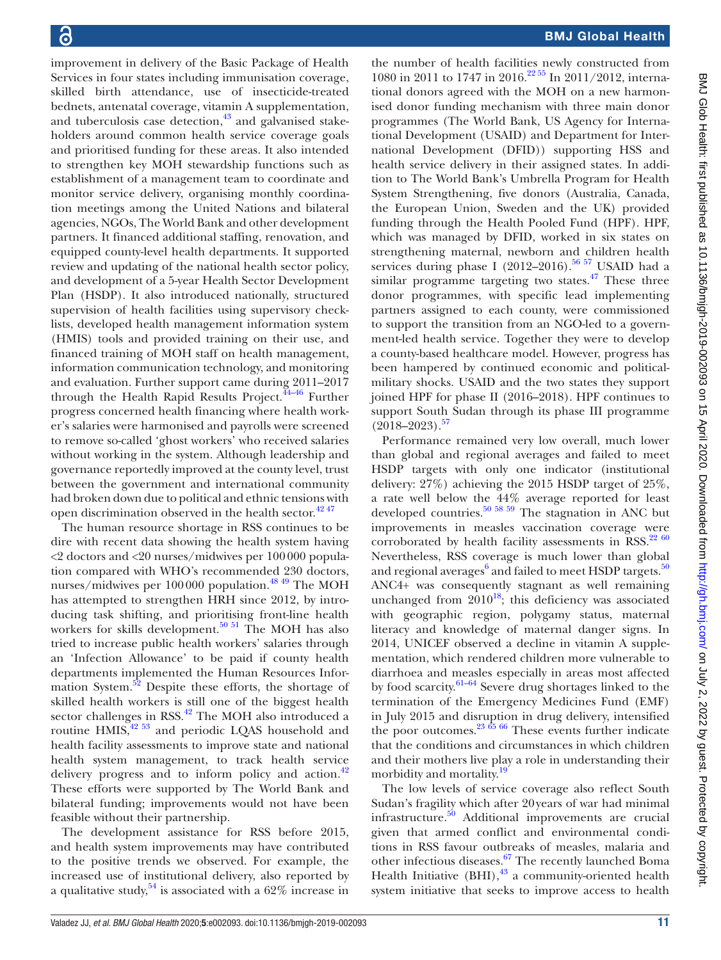improvement in delivery of the Basic Package of Health Services in four states including immunisation coverage, skilled birth attendance, use of insecticide-treated bednets, antenatal coverage, vitamin A supplementation, and tuberculosis case detection, $43$  and galvanised stakeholders around common health service coverage goals and prioritised funding for these areas. It also intended to strengthen key MOH stewardship functions such as establishment of a management team to coordinate and monitor service delivery, organising monthly coordination meetings among the United Nations and bilateral agencies, NGOs, The World Bank and other development partners. It financed additional staffing, renovation, and equipped county-level health departments. It supported review and updating of the national health sector policy, and development of a 5-year Health Sector Development Plan (HSDP). It also introduced nationally, structured supervision of health facilities using supervisory checklists, developed health management information system (HMIS) tools and provided training on their use, and financed training of MOH staff on health management, information communication technology, and monitoring and evaluation. Further support came during 2011–2017 through the Health Rapid Results Project. $44-46$  Further progress concerned health financing where health worker's salaries were harmonised and payrolls were screened to remove so-called 'ghost workers' who received salaries without working in the system. Although leadership and governance reportedly improved at the county level, trust between the government and international community had broken down due to political and ethnic tensions with open discrimination observed in the health sector. $42\frac{47}{17}$ 

The human resource shortage in RSS continues to be dire with recent data showing the health system having <2 doctors and <20 nurses/midwives per 100000 population compared with WHO's recommended 230 doctors, nurses/midwives per 100000 population.<sup>48 49</sup> The MOH has attempted to strengthen HRH since 2012, by introducing task shifting, and prioritising front-line health workers for skills development.<sup>50 51</sup> The MOH has also tried to increase public health workers' salaries through an 'Infection Allowance' to be paid if county health departments implemented the Human Resources Information System. $52$  Despite these efforts, the shortage of skilled health workers is still one of the biggest health sector challenges in RSS.<sup>42</sup> The MOH also introduced a routine HMIS,<sup>42 53</sup> and periodic LQAS household and health facility assessments to improve state and national health system management, to track health service delivery progress and to inform policy and action. $42$ These efforts were supported by The World Bank and bilateral funding; improvements would not have been feasible without their partnership.

The development assistance for RSS before 2015, and health system improvements may have contributed to the positive trends we observed. For example, the increased use of institutional delivery, also reported by a qualitative study,  $54$  is associated with a 62% increase in

the number of health facilities newly constructed from 1080 in 2011 to 1747 in 2016.[22 55](#page-13-9) In 2011/2012, international donors agreed with the MOH on a new harmonised donor funding mechanism with three main donor programmes (The World Bank, US Agency for International Development (USAID) and Department for International Development (DFID)) supporting HSS and health service delivery in their assigned states. In addition to The World Bank's Umbrella Program for Health System Strengthening, five donors (Australia, Canada, the European Union, Sweden and the UK) provided funding through the Health Pooled Fund (HPF). HPF, which was managed by DFID, worked in six states on strengthening maternal, newborn and children health services during phase I  $(2012-2016)$ .<sup>[56 57](#page-13-29)</sup> USAID had a similar programme targeting two states.<sup>47</sup> These three donor programmes, with specific lead implementing partners assigned to each county, were commissioned to support the transition from an NGO-led to a government-led health service. Together they were to develop a county-based healthcare model. However, progress has been hampered by continued economic and politicalmilitary shocks. USAID and the two states they support joined HPF for phase II (2016–2018). HPF continues to support South Sudan through its phase III programme  $(2018-2023).$ <sup>[57](#page-14-0)</sup>

Performance remained very low overall, much lower than global and regional averages and failed to meet HSDP targets with only one indicator (institutional delivery: 27%) achieving the 2015 HSDP target of 25%, a rate well below the 44% average reported for least developed countries[.50 58 59](#page-13-26) The stagnation in ANC but improvements in measles vaccination coverage were corroborated by health facility assessments in RSS.<sup>[22 60](#page-13-9)</sup> Nevertheless, RSS coverage is much lower than global and regional averages<sup>6</sup> and failed to meet HSDP targets.<sup>50</sup> ANC4+ was consequently stagnant as well remaining unchanged from  $2010^{18}$ ; this deficiency was associated with geographic region, polygamy status, maternal literacy and knowledge of maternal danger signs. In 2014, UNICEF observed a decline in vitamin A supplementation, which rendered children more vulnerable to diarrhoea and measles especially in areas most affected by food scarcity. $61-64$  Severe drug shortages linked to the termination of the Emergency Medicines Fund (EMF) in July 2015 and disruption in drug delivery, intensified the poor outcomes.<sup>23 65</sup> 66 These events further indicate that the conditions and circumstances in which children and their mothers live play a role in understanding their morbidity and mortality.[19](#page-13-8)

The low levels of service coverage also reflect South Sudan's fragility which after 20years of war had minimal infrastructure.<sup>50</sup> Additional improvements are crucial given that armed conflict and environmental conditions in RSS favour outbreaks of measles, malaria and other infectious diseases.<sup>67</sup> The recently launched Boma Health Initiative  $(BHI)$ ,<sup>43</sup> a community-oriented health system initiative that seeks to improve access to health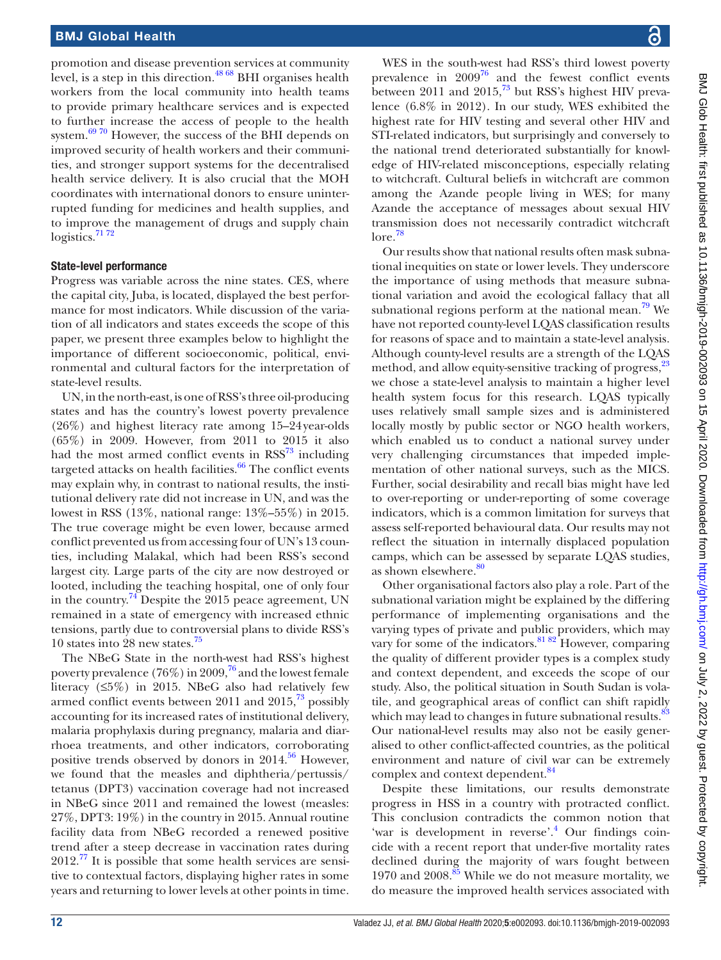promotion and disease prevention services at community level, is a step in this direction.<sup>[48 68](#page-13-25)</sup> BHI organises health workers from the local community into health teams to provide primary healthcare services and is expected to further increase the access of people to the health system. $69\%$  However, the success of the BHI depends on improved security of health workers and their communities, and stronger support systems for the decentralised health service delivery. It is also crucial that the MOH coordinates with international donors to ensure uninterrupted funding for medicines and health supplies, and to improve the management of drugs and supply chain logistics. $71\frac{72}{2}$ 

### State-level performance

Progress was variable across the nine states. CES, where the capital city, Juba, is located, displayed the best performance for most indicators. While discussion of the variation of all indicators and states exceeds the scope of this paper, we present three examples below to highlight the importance of different socioeconomic, political, environmental and cultural factors for the interpretation of state-level results.

UN, in the north-east, is one of RSS's three oil-producing states and has the country's lowest poverty prevalence (26%) and highest literacy rate among 15–24year-olds (65%) in 2009. However, from 2011 to 2015 it also had the most armed conflict events in  $RSS^{73}$  including targeted attacks on health facilities. $66$  The conflict events may explain why, in contrast to national results, the institutional delivery rate did not increase in UN, and was the lowest in RSS (13%, national range: 13%–55%) in 2015. The true coverage might be even lower, because armed conflict prevented us from accessing four of UN's 13 counties, including Malakal, which had been RSS's second largest city. Large parts of the city are now destroyed or looted, including the teaching hospital, one of only four in the country.<sup>74</sup> Despite the 2015 peace agreement, UN remained in a state of emergency with increased ethnic tensions, partly due to controversial plans to divide RSS's 10 states into 28 new states[.75](#page-14-8)

The NBeG State in the north-west had RSS's highest poverty prevalence  $(76\%)$  in 2009,<sup>76</sup> and the lowest female literacy (≤5%) in 2015. NBeG also had relatively few armed conflict events between 2011 and  $2015<sup>73</sup>$  possibly accounting for its increased rates of institutional delivery, malaria prophylaxis during pregnancy, malaria and diarrhoea treatments, and other indicators, corroborating positive trends observed by donors in  $2014<sup>56</sup>$  However, we found that the measles and diphtheria/pertussis/ tetanus (DPT3) vaccination coverage had not increased in NBeG since 2011 and remained the lowest (measles: 27%, DPT3: 19%) in the country in 2015. Annual routine facility data from NBeG recorded a renewed positive trend after a steep decrease in vaccination rates during  $2012<sup>77</sup>$  $2012<sup>77</sup>$  $2012<sup>77</sup>$  It is possible that some health services are sensitive to contextual factors, displaying higher rates in some years and returning to lower levels at other points in time.

WES in the south-west had RSS's third lowest poverty prevalence in  $2009^{76}$  and the fewest conflict events between 2011 and  $2015$ ,  $73$  but RSS's highest HIV prevalence (6.8% in 2012). In our study, WES exhibited the highest rate for HIV testing and several other HIV and STI-related indicators, but surprisingly and conversely to the national trend deteriorated substantially for knowledge of HIV-related misconceptions, especially relating to witchcraft. Cultural beliefs in witchcraft are common among the Azande people living in WES; for many Azande the acceptance of messages about sexual HIV transmission does not necessarily contradict witchcraft lore.[78](#page-14-11)

Our results show that national results often mask subnational inequities on state or lower levels. They underscore the importance of using methods that measure subnational variation and avoid the ecological fallacy that all subnational regions perform at the national mean.<sup>[79](#page-14-12)</sup> We have not reported county-level LQAS classification results for reasons of space and to maintain a state-level analysis. Although county-level results are a strength of the LQAS method, and allow equity-sensitive tracking of progress,  $^{23}$  $^{23}$  $^{23}$ we chose a state-level analysis to maintain a higher level health system focus for this research. LQAS typically uses relatively small sample sizes and is administered locally mostly by public sector or NGO health workers, which enabled us to conduct a national survey under very challenging circumstances that impeded implementation of other national surveys, such as the MICS. Further, social desirability and recall bias might have led to over-reporting or under-reporting of some coverage indicators, which is a common limitation for surveys that assess self-reported behavioural data. Our results may not reflect the situation in internally displaced population camps, which can be assessed by separate LQAS studies, as shown elsewhere.<sup>[80](#page-14-13)</sup>

Other organisational factors also play a role. Part of the subnational variation might be explained by the differing performance of implementing organisations and the varying types of private and public providers, which may vary for some of the indicators.  $81\frac{82}{2}$  However, comparing the quality of different provider types is a complex study and context dependent, and exceeds the scope of our study. Also, the political situation in South Sudan is volatile, and geographical areas of conflict can shift rapidly which may lead to changes in future subnational results.<sup>[83](#page-14-15)</sup> Our national-level results may also not be easily generalised to other conflict-affected countries, as the political environment and nature of civil war can be extremely complex and context dependent.<sup>[84](#page-14-16)</sup>

Despite these limitations, our results demonstrate progress in HSS in a country with protracted conflict. This conclusion contradicts the common notion that 'war is development in reverse'.<sup>4</sup> Our findings coincide with a recent report that under-five mortality rates declined during the majority of wars fought between 1970 and  $2008$ .<sup>85</sup> While we do not measure mortality, we do measure the improved health services associated with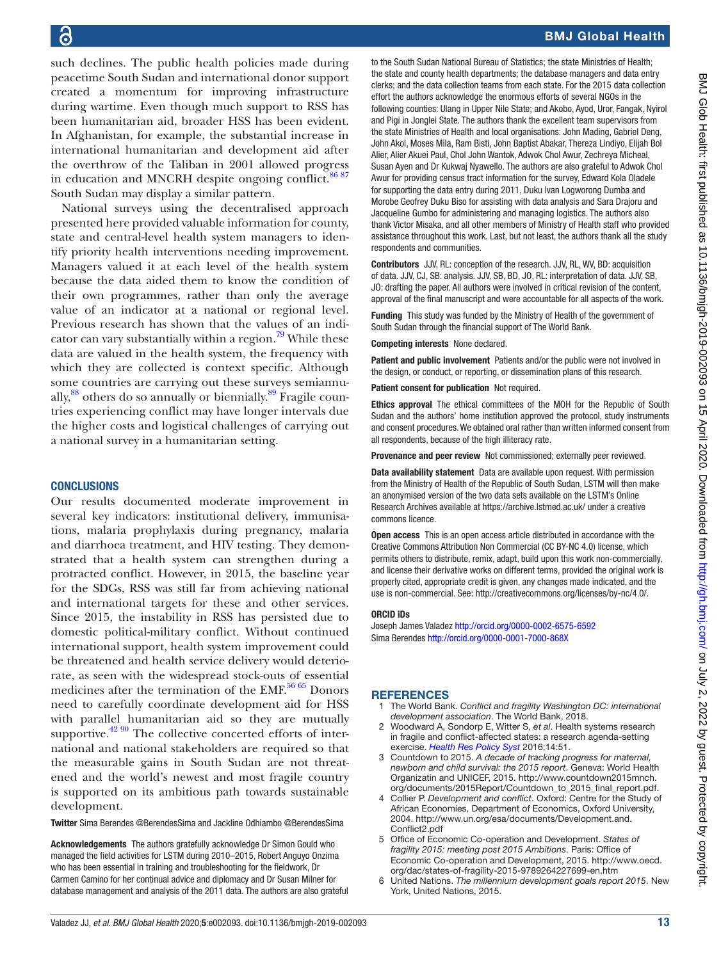such declines. The public health policies made during peacetime South Sudan and international donor support created a momentum for improving infrastructure during wartime. Even though much support to RSS has been humanitarian aid, broader HSS has been evident. In Afghanistan, for example, the substantial increase in international humanitarian and development aid after the overthrow of the Taliban in 2001 allowed progress in education and MNCRH despite ongoing conflict. $86\frac{87}{100}$ South Sudan may display a similar pattern.

National surveys using the decentralised approach presented here provided valuable information for county, state and central-level health system managers to identify priority health interventions needing improvement. Managers valued it at each level of the health system because the data aided them to know the condition of their own programmes, rather than only the average value of an indicator at a national or regional level. Previous research has shown that the values of an indi-cator can vary substantially within a region.<sup>[79](#page-14-12)</sup> While these data are valued in the health system, the frequency with which they are collected is context specific. Although some countries are carrying out these surveys semiannu-ally,<sup>88</sup> others do so annually or biennially.<sup>[89](#page-14-20)</sup> Fragile countries experiencing conflict may have longer intervals due the higher costs and logistical challenges of carrying out a national survey in a humanitarian setting.

#### **CONCLUSIONS**

Our results documented moderate improvement in several key indicators: institutional delivery, immunisations, malaria prophylaxis during pregnancy, malaria and diarrhoea treatment, and HIV testing. They demonstrated that a health system can strengthen during a protracted conflict. However, in 2015, the baseline year for the SDGs, RSS was still far from achieving national and international targets for these and other services. Since 2015, the instability in RSS has persisted due to domestic political-military conflict. Without continued international support, health system improvement could be threatened and health service delivery would deteriorate, as seen with the widespread stock-outs of essential medicines after the termination of the EMF. [56 65](#page-13-29) Donors need to carefully coordinate development aid for HSS with parallel humanitarian aid so they are mutually supportive. $42\frac{90}{90}$  The collective concerted efforts of international and national stakeholders are required so that the measurable gains in South Sudan are not threatened and the world's newest and most fragile country is supported on its ambitious path towards sustainable development.

Twitter Sima Berendes [@BerendesSima](https://twitter.com/BerendesSima) and Jackline Odhiambo [@BerendesSima](https://twitter.com/BerendesSima)

Acknowledgements The authors gratefully acknowledge Dr Simon Gould who managed the field activities for LSTM during 2010–2015, Robert Anguyo Onzima who has been essential in training and troubleshooting for the fieldwork, Dr Carmen Camino for her continual advice and diplomacy and Dr Susan Milner for database management and analysis of the 2011 data. The authors are also grateful

to the South Sudan National Bureau of Statistics; the state Ministries of Health; the state and county health departments; the database managers and data entry clerks; and the data collection teams from each state. For the 2015 data collection effort the authors acknowledge the enormous efforts of several NGOs in the following counties: Ulang in Upper Nile State; and Akobo, Ayod, Uror, Fangak, Nyirol and Pigi in Jonglei State. The authors thank the excellent team supervisors from the state Ministries of Health and local organisations: John Mading, Gabriel Deng, John Akol, Moses Mila, Ram Bisti, John Baptist Abakar, Thereza Lindiyo, Elijah Bol Alier, Alier Akuei Paul, Chol John Wantok, Adwok Chol Awur, Zechreya Micheal, Susan Ayen and Dr Kukwaj Nyawello. The authors are also grateful to Adwok Chol Awur for providing census tract information for the survey, Edward Kola Oladele for supporting the data entry during 2011, Duku Ivan Logworong Dumba and Morobe Geofrey Duku Biso for assisting with data analysis and Sara Drajoru and Jacqueline Gumbo for administering and managing logistics. The authors also thank Victor Misaka, and all other members of Ministry of Health staff who provided assistance throughout this work. Last, but not least, the authors thank all the study respondents and communities.

Contributors JJV, RL: conception of the research. JJV, RL, WV, BD: acquisition of data. JJV, CJ, SB: analysis. JJV, SB, BD, JO, RL: interpretation of data. JJV, SB, JO: drafting the paper. All authors were involved in critical revision of the content, approval of the final manuscript and were accountable for all aspects of the work.

Funding This study was funded by the Ministry of Health of the government of South Sudan through the financial support of The World Bank.

Competing interests None declared.

Patient and public involvement Patients and/or the public were not involved in the design, or conduct, or reporting, or dissemination plans of this research.

Patient consent for publication Not required.

Ethics approval The ethical committees of the MOH for the Republic of South Sudan and the authors' home institution approved the protocol, study instruments and consent procedures. We obtained oral rather than written informed consent from all respondents, because of the high illiteracy rate.

Provenance and peer review Not commissioned; externally peer reviewed.

Data availability statement Data are available upon request. With permission from the Ministry of Health of the Republic of South Sudan, LSTM will then make an anonymised version of the two data sets available on the LSTM's Online Research Archives available at <https://archive.lstmed.ac.uk/>under a creative commons licence.

Open access This is an open access article distributed in accordance with the Creative Commons Attribution Non Commercial (CC BY-NC 4.0) license, which permits others to distribute, remix, adapt, build upon this work non-commercially, and license their derivative works on different terms, provided the original work is properly cited, appropriate credit is given, any changes made indicated, and the use is non-commercial. See:<http://creativecommons.org/licenses/by-nc/4.0/>.

#### ORCID iDs

Joseph James Valadez<http://orcid.org/0000-0002-6575-6592> Sima Berendes <http://orcid.org/0000-0001-7000-868X>

#### **REFERENCES**

- <span id="page-12-0"></span>1 The World Bank. *Conflict and fragility Washington DC: international development association*. The World Bank, 2018.
- <span id="page-12-1"></span>2 Woodward A, Sondorp E, Witter S, *et al*. Health systems research in fragile and conflict-affected states: a research agenda-setting exercise. *[Health Res Policy Syst](http://dx.doi.org/10.1186/s12961-016-0124-1)* 2016;14:51.
- <span id="page-12-2"></span>3 Countdown to 2015. *A decade of tracking progress for maternal, newborn and child survival: the 2015 report*. Geneva: World Health Organizatin and UNICEF, 2015. [http://www.countdown2015mnch.](http://www.countdown2015mnch.org/documents/2015Report/Countdown_to_2015_final_report.pdf.) [org/documents/2015Report/Countdown\\_to\\_2015\\_final\\_report.pdf.](http://www.countdown2015mnch.org/documents/2015Report/Countdown_to_2015_final_report.pdf.)
- <span id="page-12-3"></span>4 Collier P. *Development and conflict*. Oxford: Centre for the Study of African Economies, Department of Economics, Oxford University, 2004. [http://www.un.org/esa/documents/Development.and.](http://www.un.org/esa/documents/Development.and.Conflict2.pdf) [Conflict2.pdf](http://www.un.org/esa/documents/Development.and.Conflict2.pdf)
- 5 Office of Economic Co-operation and Development. *States of fragility 2015: meeting post 2015 Ambitions*. Paris: Office of Economic Co-operation and Development, 2015. [http://www.oecd.](http://www.oecd.org/dac/states-of-fragility-2015-9789264227699-en.htm) [org/dac/states-of-fragility-2015-9789264227699-en.htm](http://www.oecd.org/dac/states-of-fragility-2015-9789264227699-en.htm)
- <span id="page-12-4"></span>6 United Nations. *The millennium development goals report 2015*. New York, United Nations, 2015.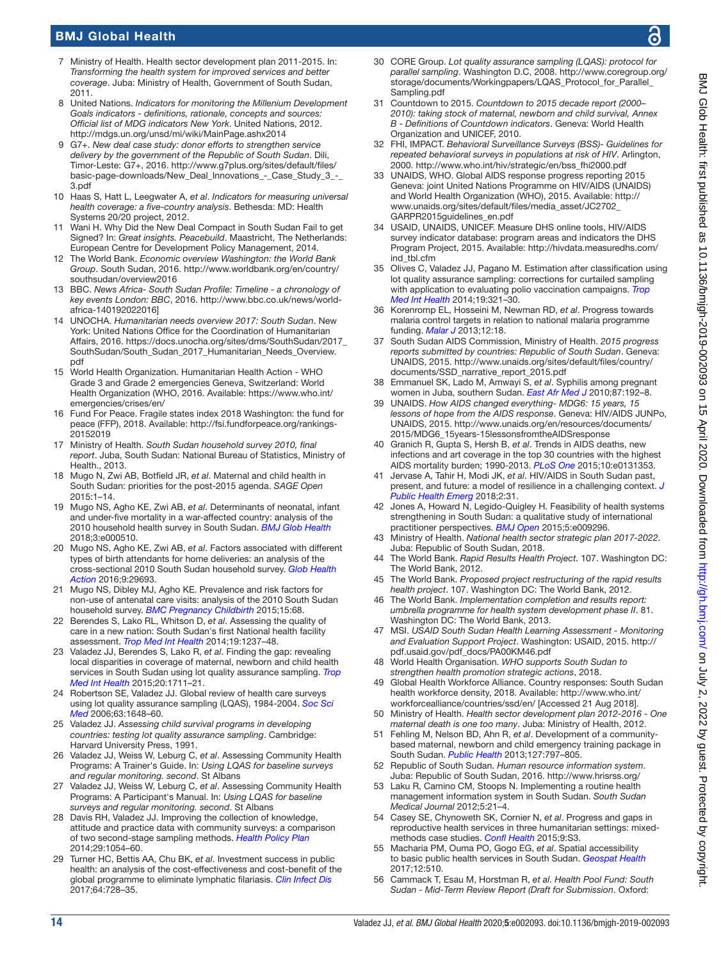- <span id="page-13-0"></span>7 Ministry of Health. Health sector development plan 2011-2015. In: *Transforming the health system for improved services and better coverage*. Juba: Ministry of Health, Government of South Sudan, 2011.
- 8 United Nations. *Indicators for monitoring the Millenium Development Goals indicators - definitions, rationale, concepts and sources: Official list of MDG indicators New York*. United Nations, 2012. <http://mdgs.un.org/unsd/mi/wiki/MainPage.ashx2014>
- <span id="page-13-1"></span>9 G7+. *New deal case study: donor efforts to strengthen service delivery by the government of the Republic of South Sudan*. Dili, Timor-Leste: G7+, 2016. [http://www.g7plus.org/sites/default/files/](http://www.g7plus.org/sites/default/files/basic-page-downloads/New_Deal_Innovations_-_Case_Study_3_-_3.pdf) [basic-page-downloads/New\\_Deal\\_Innovations\\_-\\_Case\\_Study\\_3\\_-\\_](http://www.g7plus.org/sites/default/files/basic-page-downloads/New_Deal_Innovations_-_Case_Study_3_-_3.pdf) [3.pdf](http://www.g7plus.org/sites/default/files/basic-page-downloads/New_Deal_Innovations_-_Case_Study_3_-_3.pdf)
- 10 Haas S, Hatt L, Leegwater A, *et al*. *Indicators for measuring universal health coverage: a five-country analysis*. Bethesda: MD: Health Systems 20/20 project, 2012.
- 11 Wani H. Why Did the New Deal Compact in South Sudan Fail to get Signed? In: *Great insights. Peacebuild*. Maastricht, The Netherlands: European Centre for Development Policy Management, 2014.
- <span id="page-13-2"></span>12 The World Bank. *Economic overview Washington: the World Bank Group*. South Sudan, 2016. [http://www.worldbank.org/en/country/](http://www.worldbank.org/en/country/southsudan/overview2016) [southsudan/overview2016](http://www.worldbank.org/en/country/southsudan/overview2016)
- 13 BBC. *News Africa- South Sudan Profile: Timeline a chronology of key events London: BBC*, 2016. [http://www.bbc.co.uk/news/world](http://www.bbc.co.uk/news/world-africa-140192022016])[africa-140192022016\]](http://www.bbc.co.uk/news/world-africa-140192022016])
- <span id="page-13-3"></span>14 UNOCHA. *Humanitarian needs overview 2017: South Sudan*. New York: United Nations Office for the Coordination of Humanitarian Affairs, 2016. [https://docs.unocha.org/sites/dms/SouthSudan/2017\\_](https://docs.unocha.org/sites/dms/SouthSudan/2017_SouthSudan/South_Sudan_2017_Humanitarian_Needs_Overview.pdf) [SouthSudan/South\\_Sudan\\_2017\\_Humanitarian\\_Needs\\_Overview.](https://docs.unocha.org/sites/dms/SouthSudan/2017_SouthSudan/South_Sudan_2017_Humanitarian_Needs_Overview.pdf) [pdf](https://docs.unocha.org/sites/dms/SouthSudan/2017_SouthSudan/South_Sudan_2017_Humanitarian_Needs_Overview.pdf)
- <span id="page-13-4"></span>15 World Health Organization. Humanitarian Health Action - WHO Grade 3 and Grade 2 emergencies Geneva, Switzerland: World Health Organization (WHO, 2016. Available: [https://www.who.int/](https://www.who.int/emergencies/crises/en/) [emergencies/crises/en/](https://www.who.int/emergencies/crises/en/)
- <span id="page-13-5"></span>16 Fund For Peace. Fragile states index 2018 Washington: the fund for peace (FFP), 2018. Available: [http://fsi.fundforpeace.org/rankings-](http://fsi.fundforpeace.org/rankings-20152019)[20152019](http://fsi.fundforpeace.org/rankings-20152019)
- <span id="page-13-6"></span>17 Ministry of Health. *South Sudan household survey 2010, final report*. Juba, South Sudan: National Bureau of Statistics, Ministry of Health., 2013.
- <span id="page-13-7"></span>18 Mugo N, Zwi AB, Botfield JR, *et al*. Maternal and child health in South Sudan: priorities for the post-2015 agenda. *SAGE Open* 2015:1–14.
- <span id="page-13-8"></span>19 Mugo NS, Agho KE, Zwi AB, *et al*. Determinants of neonatal, infant and under-five mortality in a war-affected country: analysis of the 2010 household health survey in South Sudan. *[BMJ Glob Health](http://dx.doi.org/10.1136/bmjgh-2017-000510)* 2018;3:e000510.
- 20 Mugo NS, Agho KE, Zwi AB, *et al*. Factors associated with different types of birth attendants for home deliveries: an analysis of the cross-sectional 2010 South Sudan household survey. *[Glob Health](http://dx.doi.org/10.3402/gha.v9.29693)  [Action](http://dx.doi.org/10.3402/gha.v9.29693)* 2016;9:29693.
- 21 Mugo NS, Dibley MJ, Agho KE. Prevalence and risk factors for non-use of antenatal care visits: analysis of the 2010 South Sudan household survey. *[BMC Pregnancy Childbirth](http://dx.doi.org/10.1186/s12884-015-0491-6)* 2015;15:68.
- <span id="page-13-9"></span>22 Berendes S, Lako RL, Whitson D, *et al*. Assessing the quality of care in a new nation: South Sudan's first National health facility assessment. *[Trop Med Int Health](http://dx.doi.org/10.1111/tmi.12363)* 2014;19:1237–48.
- <span id="page-13-11"></span>23 Valadez JJ, Berendes S, Lako R, *et al*. Finding the gap: revealing local disparities in coverage of maternal, newborn and child health services in South Sudan using lot quality assurance sampling. *[Trop](http://dx.doi.org/10.1111/tmi.12613)  [Med Int Health](http://dx.doi.org/10.1111/tmi.12613)* 2015;20:1711–21.
- <span id="page-13-10"></span>24 Robertson SE, Valadez JJ. Global review of health care surveys using lot quality assurance sampling (LQAS), 1984-2004. *[Soc Sci](http://dx.doi.org/10.1016/j.socscimed.2006.04.011)  [Med](http://dx.doi.org/10.1016/j.socscimed.2006.04.011)* 2006;63:1648–60.
- <span id="page-13-12"></span>25 Valadez JJ. *Assessing child survival programs in developing countries: testing lot quality assurance sampling*. Cambridge: Harvard University Press, 1991.
- <span id="page-13-13"></span>26 Valadez JJ, Weiss W, Leburg C, *et al*. Assessing Community Health Programs: A Trainer's Guide. In: *Using LQAS for baseline surveys and regular monitoring. second*. St Albans
- 27 Valadez JJ, Weiss W, Leburg C, *et al*. Assessing Community Health Programs: A Participant's Manual. In: *Using LQAS for baseline surveys and regular monitoring. second*. St Albans
- <span id="page-13-14"></span>28 Davis RH, Valadez JJ. Improving the collection of knowledge, attitude and practice data with community surveys: a comparison of two second-stage sampling methods. *[Health Policy Plan](http://dx.doi.org/10.1093/heapol/czt088)* 2014;29:1054–60.
- 29 Turner HC, Bettis AA, Chu BK, *et al*. Investment success in public health: an analysis of the cost-effectiveness and cost-benefit of the global programme to eliminate lymphatic filariasis. *[Clin Infect Dis](http://dx.doi.org/10.1093/cid/ciw835)* 2017;64:728–35.
- 30 CORE Group. *Lot quality assurance sampling (LQAS): protocol for parallel sampling*. Washington D.C, 2008. [http://www.coregroup.org/](http://www.coregroup.org/storage/documents/Workingpapers/LQAS_Protocol_for_Parallel_Sampling.pdf) [storage/documents/Workingpapers/LQAS\\_Protocol\\_for\\_Parallel\\_](http://www.coregroup.org/storage/documents/Workingpapers/LQAS_Protocol_for_Parallel_Sampling.pdf) [Sampling.pdf](http://www.coregroup.org/storage/documents/Workingpapers/LQAS_Protocol_for_Parallel_Sampling.pdf)
- <span id="page-13-15"></span>31 Countdown to 2015. *Countdown to 2015 decade report (2000– 2010): taking stock of maternal, newborn and child survival, Annex B - Definitions of Countdown indicators*. Geneva: World Health Organization and UNICEF, 2010.
- 32 FHI, IMPACT. *Behavioral Surveillance Surveys (BSS)- Guidelines for repeated behavioral surveys in populations at risk of HIV*. Arlington, 2000. [http://www.who.int/hiv/strategic/en/bss\\_fhi2000.pdf](http://www.who.int/hiv/strategic/en/bss_fhi2000.pdf)
- 33 UNAIDS, WHO. Global AIDS response progress reporting 2015 Geneva: joint United Nations Programme on HIV/AIDS (UNAIDS) and World Health Organization (WHO), 2015. Available: [http://](http://www.unaids.org/sites/default/files/media_asset/JC2702_GARPR2015guidelines_en.pdf) [www.unaids.org/sites/default/files/media\\_asset/JC2702\\_](http://www.unaids.org/sites/default/files/media_asset/JC2702_GARPR2015guidelines_en.pdf) [GARPR2015guidelines\\_en.pdf](http://www.unaids.org/sites/default/files/media_asset/JC2702_GARPR2015guidelines_en.pdf)
- 34 USAID, UNAIDS, UNICEF. Measure DHS online tools, HIV/AIDS survey indicator database: program areas and indicators the DHS Program Project, 2015. Available: [http://hivdata.measuredhs.com/](http://hivdata.measuredhs.com/ind_tbl.cfm) [ind\\_tbl.cfm](http://hivdata.measuredhs.com/ind_tbl.cfm)
- <span id="page-13-16"></span>35 Olives C, Valadez JJ, Pagano M. Estimation after classification using lot quality assurance sampling: corrections for curtailed sampling with application to evaluating polio vaccination campaigns. *[Trop](http://dx.doi.org/10.1111/tmi.12247)  [Med Int Health](http://dx.doi.org/10.1111/tmi.12247)* 2014;19:321–30.
- 36 Korenromp EL, Hosseini M, Newman RD, *et al*. Progress towards malaria control targets in relation to national malaria programme funding. *[Malar J](http://dx.doi.org/10.1186/1475-2875-12-18)* 2013;12:18.
- <span id="page-13-17"></span>37 South Sudan AIDS Commission, Ministry of Health. *2015 progress reports submitted by countries: Republic of South Sudan*. Geneva: UNAIDS, 2015. [http://www.unaids.org/sites/default/files/country/](http://www.unaids.org/sites/default/files/country/documents/SSD_narrative_report_2015.pdf) [documents/SSD\\_narrative\\_report\\_2015.pdf](http://www.unaids.org/sites/default/files/country/documents/SSD_narrative_report_2015.pdf)
- <span id="page-13-18"></span>38 Emmanuel SK, Lado M, Amwayi S, *et al*. Syphilis among pregnant women in Juba, southern Sudan. *[East Afr Med J](http://dx.doi.org/10.4314/eamj.v87i5.63073)* 2010;87:192–8.
- <span id="page-13-19"></span>39 UNAIDS. *How AIDS changed everything- MDG6: 15 years, 15 lessons of hope from the AIDS response*. Geneva: HIV/AIDS JUNPo, UNAIDS, 2015. [http://www.unaids.org/en/resources/documents/](http://www.unaids.org/en/resources/documents/2015/MDG6_15years-15lessonsfromtheAIDSresponse) [2015/MDG6\\_15years-15lessonsfromtheAIDSresponse](http://www.unaids.org/en/resources/documents/2015/MDG6_15years-15lessonsfromtheAIDSresponse)
- <span id="page-13-20"></span>40 Granich R, Gupta S, Hersh B, *et al*. Trends in AIDS deaths, new infections and art coverage in the top 30 countries with the highest AIDS mortality burden; 1990-2013. *[PLoS One](http://dx.doi.org/10.1371/journal.pone.0131353)* 2015;10:e0131353.
- <span id="page-13-21"></span>41 Jervase A, Tahir H, Modi JK, *et al*. HIV/AIDS in South Sudan past, present, and future: a model of resilience in a challenging context. *[J](http://dx.doi.org/10.21037/jphe.2018.12.02)  [Public Health Emerg](http://dx.doi.org/10.21037/jphe.2018.12.02)* 2018;2:31.
- <span id="page-13-22"></span>42 Jones A, Howard N, Legido-Quigley H. Feasibility of health systems strengthening in South Sudan: a qualitative study of international practitioner perspectives. *[BMJ Open](http://dx.doi.org/10.1136/bmjopen-2015-009296)* 2015;5:e009296.
- <span id="page-13-23"></span>43 Ministry of Health. *National health sector strategic plan 2017-2022*. Juba: Republic of South Sudan, 2018.
- <span id="page-13-24"></span>44 The World Bank. *Rapid Results Health Project*. 107. Washington DC: The World Bank, 2012.
- 45 The World Bank. *Proposed project restructuring of the rapid results health project*. 107. Washington DC: The World Bank, 2012.
- 46 The World Bank. *Implementation completion and results report: umbrella programme for health system development phase II*. 81. Washington DC: The World Bank, 2013.
- <span id="page-13-30"></span>47 MSI. *USAID South Sudan Health Learning Assessment - Monitoring and Evaluation Support Project*. Washington: USAID, 2015. [http://](http://pdf.usaid.gov/pdf_docs/PA00KM46.pdf) [pdf.usaid.gov/pdf\\_docs/PA00KM46.pdf](http://pdf.usaid.gov/pdf_docs/PA00KM46.pdf)
- <span id="page-13-25"></span>48 World Health Organisation. *WHO supports South Sudan to strengthen health promotion strategic actions*, 2018.
- 49 Global Health Workforce Alliance. Country responses: South Sudan health workforce density, 2018. Available: [http://www.who.int/](http://www.who.int/workforcealliance/countries/ssd/en/) [workforcealliance/countries/ssd/en/](http://www.who.int/workforcealliance/countries/ssd/en/) [Accessed 21 Aug 2018].
- <span id="page-13-26"></span>50 Ministry of Health. *Health sector development plan 2012-2016 - One maternal death is one too many*. Juba: Ministry of Health, 2012.
- 51 Fehling M, Nelson BD, Ahn R, *et al*. Development of a communitybased maternal, newborn and child emergency training package in South Sudan. *[Public Health](http://dx.doi.org/10.1016/j.puhe.2013.01.010)* 2013;127:797–805.
- <span id="page-13-27"></span>52 Republic of South Sudan. *Human resource information system*. Juba: Republic of South Sudan, 2016. <http://www.hrisrss.org/>
- 53 Laku R, Camino CM, Stoops N. Implementing a routine health management information system in South Sudan. *South Sudan Medical Journal* 2012;5:21–4.
- <span id="page-13-28"></span>54 Casey SE, Chynoweth SK, Cornier N, *et al*. Progress and gaps in reproductive health services in three humanitarian settings: mixedmethods case studies. *[Confl Health](http://dx.doi.org/10.1186/1752-1505-9-S1-S3)* 2015;9:S3.
- 55 Macharia PM, Ouma PO, Gogo EG, *et al*. Spatial accessibility to basic public health services in South Sudan. *[Geospat Health](http://dx.doi.org/10.4081/gh.2017.510)* 2017;12:510.
- <span id="page-13-29"></span>56 Cammack T, Esau M, Horstman R, *et al*. *Health Pool Fund: South Sudan - Mid-Term Review Report (Draft for Submission*. Oxford: